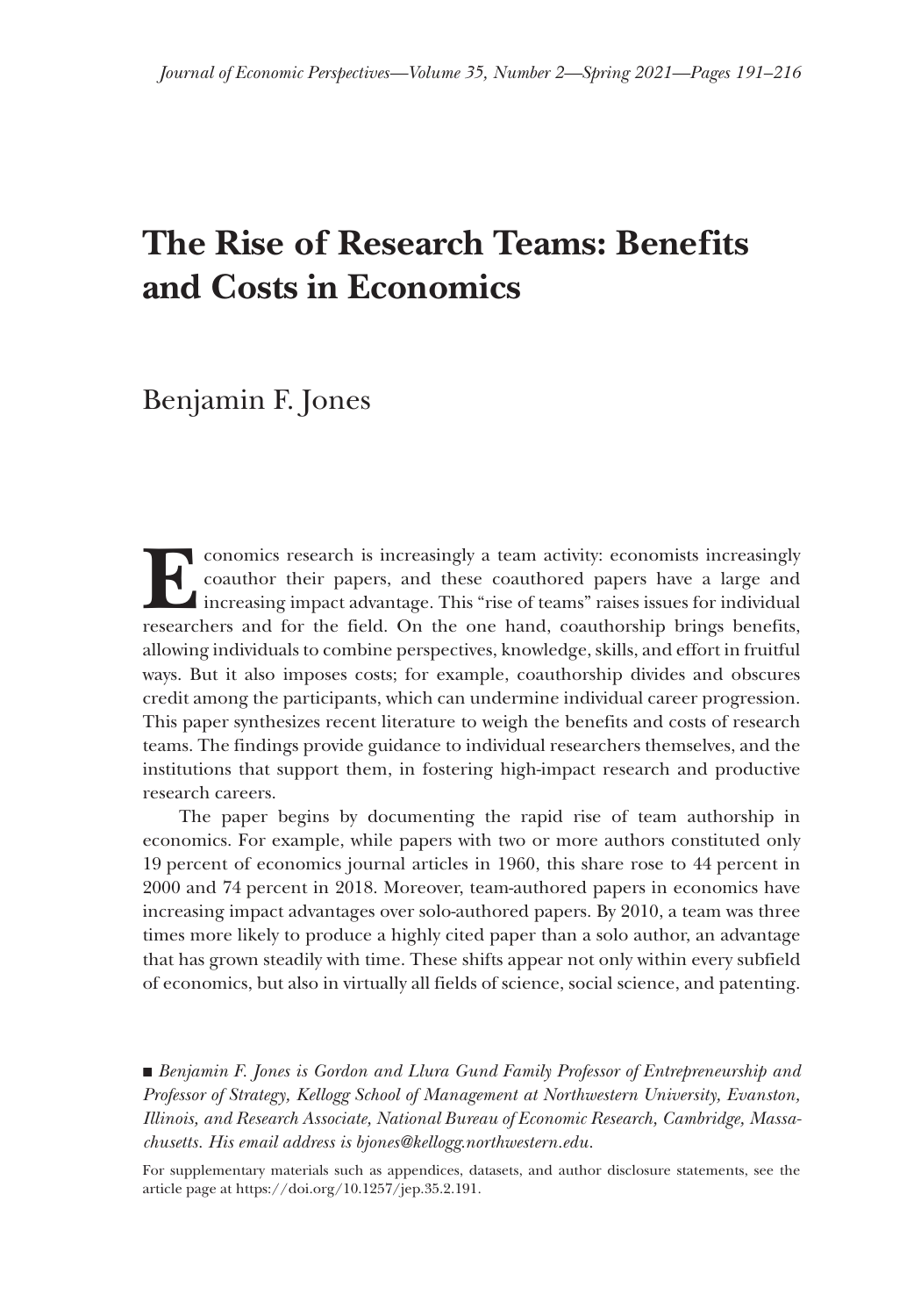## **The Rise of Research Teams: Benefits and Costs in Economics**

Benjamin F. Jones

conomics research is increasingly a team activity: economists increasingly coauthor their papers, and these coauthored papers have a large and increasing impact advantage. This "rise of teams" raises issues for individual coauthor their papers, and these coauthored papers have a large and increasing impact advantage. This "rise of teams" raises issues for individual researchers and for the field. On the one hand, coauthorship brings benefits, allowing individuals to combine perspectives, knowledge, skills, and effort in fruitful ways. But it also imposes costs; for example, coauthorship divides and obscures credit among the participants, which can undermine individual career progression. This paper synthesizes recent literature to weigh the benefits and costs of research teams. The findings provide guidance to individual researchers themselves, and the institutions that support them, in fostering high-impact research and productive research careers.

The paper begins by documenting the rapid rise of team authorship in economics. For example, while papers with two or more authors constituted only 19 percent of economics journal articles in 1960, this share rose to 44 percent in 2000 and 74 percent in 2018. Moreover, team-authored papers in economics have increasing impact advantages over solo-authored papers. By 2010, a team was three times more likely to produce a highly cited paper than a solo author, an advantage that has grown steadily with time. These shifts appear not only within every subfield of economics, but also in virtually all fields of science, social science, and patenting.

■ *Benjamin F. Jones is Gordon and Llura Gund Family Professor of Entrepreneurship and Professor of Strategy, Kellogg School of Management at Northwestern University, Evanston, Illinois, and Research Associate, National Bureau of Economic Research, Cambridge, Massachusetts. His email address is [bjones@kellogg.northwestern.edu.](mailto:bjones@kellogg.northwestern.edu)*

For supplementary materials such as appendices, datasets, and author disclosure statements, see the article page at<https://doi.org/10.1257/jep.35.2.191>.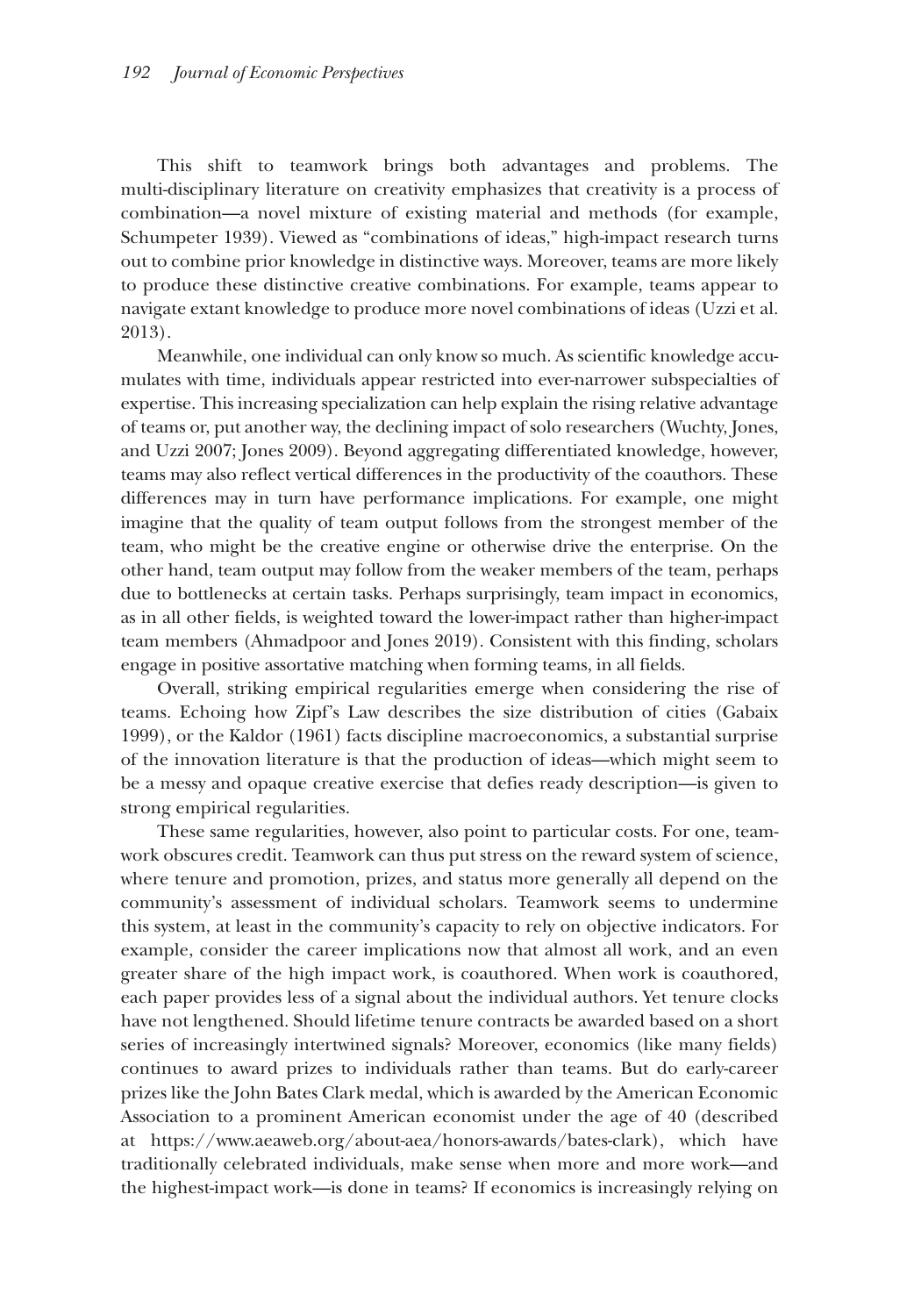This shift to teamwork brings both advantages and problems. The multi-disciplinary literature on creativity emphasizes that creativity is a process of combination—a novel mixture of existing material and methods (for example, Schumpeter 1939). Viewed as "combinations of ideas," high-impact research turns out to combine prior knowledge in distinctive ways. Moreover, teams are more likely to produce these distinctive creative combinations. For example, teams appear to navigate extant knowledge to produce more novel combinations of ideas (Uzzi et al. 2013).

Meanwhile, one individual can only know so much. As scientific knowledge accumulates with time, individuals appear restricted into ever-narrower subspecialties of expertise. This increasing specialization can help explain the rising relative advantage of teams or, put another way, the declining impact of solo researchers (Wuchty, Jones, and Uzzi 2007; Jones 2009). Beyond aggregating differentiated knowledge, however, teams may also reflect vertical differences in the productivity of the coauthors. These differences may in turn have performance implications. For example, one might imagine that the quality of team output follows from the strongest member of the team, who might be the creative engine or otherwise drive the enterprise. On the other hand, team output may follow from the weaker members of the team, perhaps due to bottlenecks at certain tasks. Perhaps surprisingly, team impact in economics, as in all other fields, is weighted toward the lower-impact rather than higher-impact team members (Ahmadpoor and Jones 2019). Consistent with this finding, scholars engage in positive assortative matching when forming teams, in all fields.

Overall, striking empirical regularities emerge when considering the rise of teams. Echoing how Zipf's Law describes the size distribution of cities (Gabaix 1999), or the Kaldor (1961) facts discipline macroeconomics, a substantial surprise of the innovation literature is that the production of ideas—which might seem to be a messy and opaque creative exercise that defies ready description—is given to strong empirical regularities.

These same regularities, however, also point to particular costs. For one, teamwork obscures credit. Teamwork can thus put stress on the reward system of science, where tenure and promotion, prizes, and status more generally all depend on the community's assessment of individual scholars. Teamwork seems to undermine this system, at least in the community's capacity to rely on objective indicators. For example, consider the career implications now that almost all work, and an even greater share of the high impact work, is coauthored. When work is coauthored, each paper provides less of a signal about the individual authors. Yet tenure clocks have not lengthened. Should lifetime tenure contracts be awarded based on a short series of increasingly intertwined signals? Moreover, economics (like many fields) continues to award prizes to individuals rather than teams. But do early-career prizes like the John Bates Clark medal, which is awarded by the American Economic Association to a prominent American economist under the age of 40 (described at [https://www.aeaweb.org/about-aea/honors-awards/bates-clark\)](https://www.aeaweb.org/about-aea/honors-awards/bates-clark), which have traditionally celebrated individuals, make sense when more and more work—and the highest-impact work—is done in teams? If economics is increasingly relying on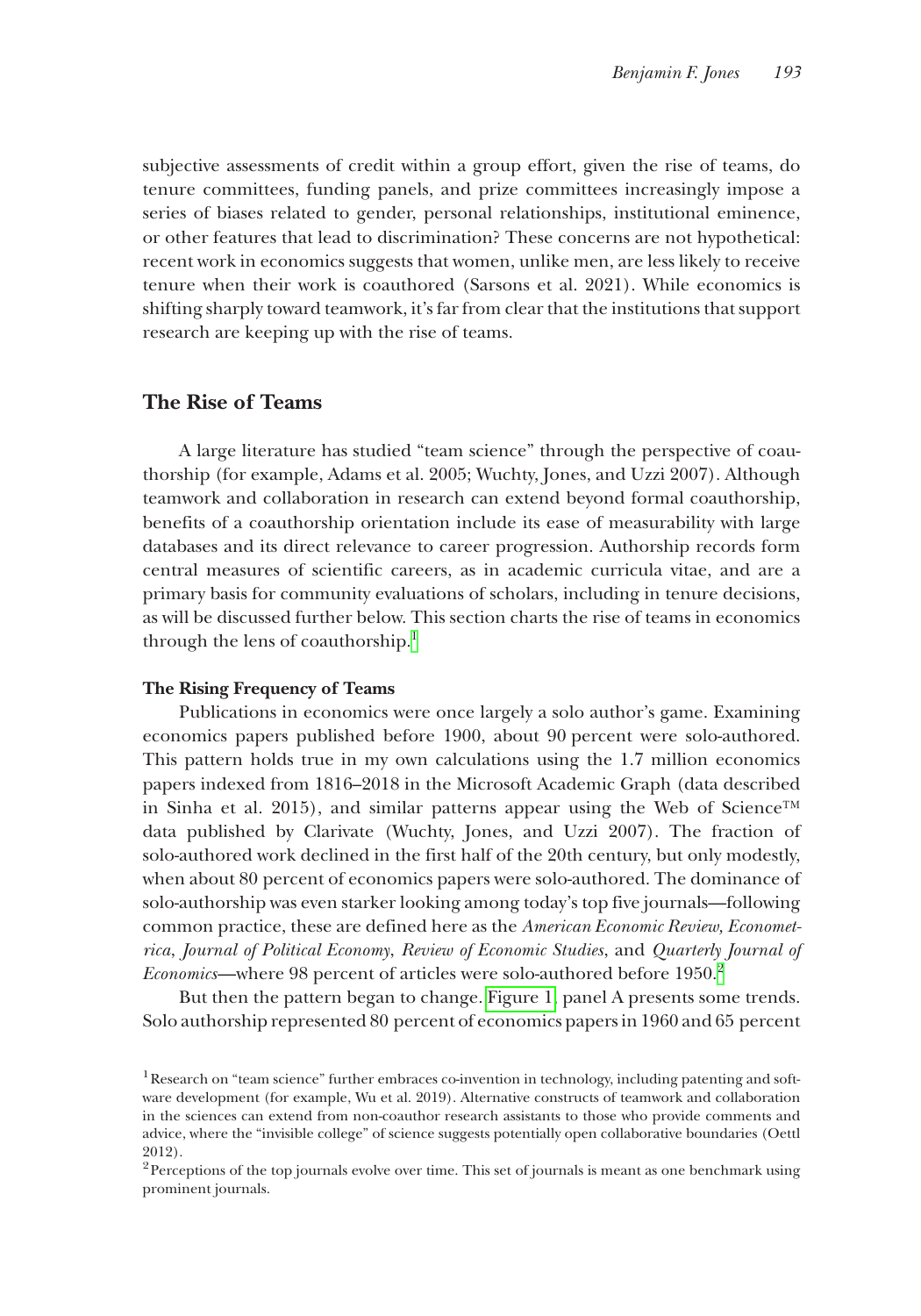subjective assessments of credit within a group effort, given the rise of teams, do tenure committees, funding panels, and prize committees increasingly impose a series of biases related to gender, personal relationships, institutional eminence, or other features that lead to discrimination? These concerns are not hypothetical: recent work in economics suggests that women, unlike men, are less likely to receive tenure when their work is coauthored (Sarsons et al. 2021). While economics is shifting sharply toward teamwork, it's far from clear that the institutions that support research are keeping up with the rise of teams.

## **The Rise of Teams**

A large literature has studied "team science" through the perspective of coauthorship (for example, Adams et al. 2005; Wuchty, Jones, and Uzzi 2007). Although teamwork and collaboration in research can extend beyond formal coauthorship, benefits of a coauthorship orientation include its ease of measurability with large databases and its direct relevance to career progression. Authorship records form central measures of scientific careers, as in academic curricula vitae, and are a primary basis for community evaluations of scholars, including in tenure decisions, as will be discussed further below. This section charts the rise of teams in economics through the lens of coauthorship.<sup>1</sup>

#### **The Rising Frequency of Teams**

Publications in economics were once largely a solo author's game. Examining economics papers published before 1900, about 90 percent were solo-authored. This pattern holds true in my own calculations using the 1.7 million economics papers indexed from 1816–2018 in the Microsoft Academic Graph (data described in Sinha et al. 2015), and similar patterns appear using the Web of Science<sup>™</sup> data published by Clarivate (Wuchty, Jones, and Uzzi 2007). The fraction of solo-authored work declined in the first half of the 20th century, but only modestly, when about 80 percent of economics papers were solo-authored. The dominance of solo-authorship was even starker looking among today's top five journals—following common practice, these are defined here as the *American Economic Review, Econometrica*, *Journal of Political Economy*, *Review of Economic Studies*, and *Quarterly Journal of Economics*—where 98 percent of articles were solo-authored before 1950.<sup>2</sup>

But then the pattern began to change. [Figure 1,](#page-3-0) panel A presents some trends. Solo authorship represented 80 percent of economics papers in 1960 and 65 percent

<span id="page-2-0"></span><sup>&</sup>lt;sup>1</sup>Research on "team science" further embraces co-invention in technology, including patenting and software development (for example, Wu et al. 2019). Alternative constructs of teamwork and collaboration in the sciences can extend from non-coauthor research assistants to those who provide comments and advice, where the "invisible college" of science suggests potentially open collaborative boundaries (Oettl 2012).

<span id="page-2-1"></span><sup>&</sup>lt;sup>2</sup>Perceptions of the top journals evolve over time. This set of journals is meant as one benchmark using prominent journals.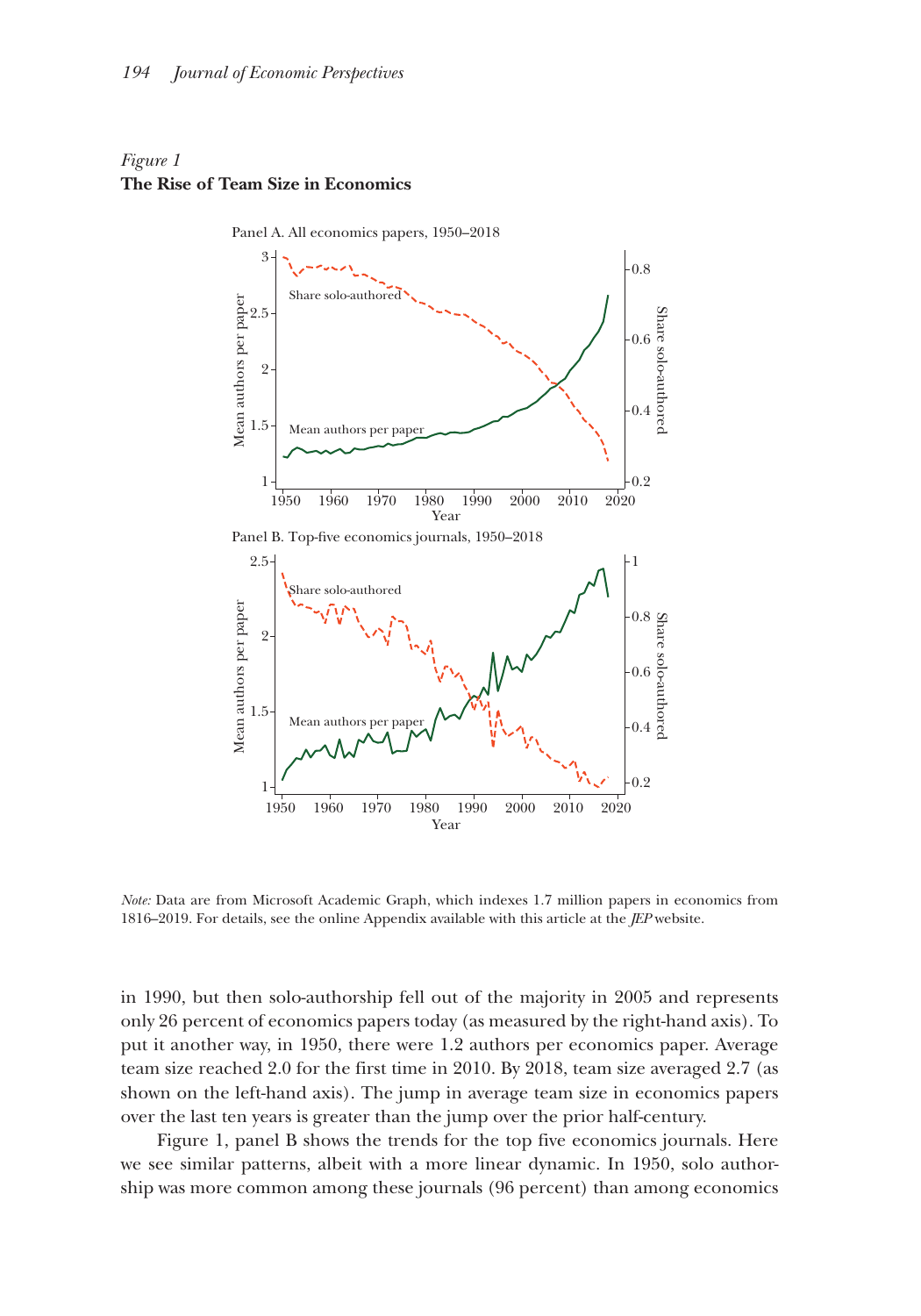## <span id="page-3-0"></span>*Figure 1* **The Rise of Team Size in Economics**



*Note:* Data are from Microsoft Academic Graph, which indexes 1.7 million papers in economics from 1816–2019. For details, see the online Appendix available with this article at the *JEP* website.

in 1990, but then solo-authorship fell out of the majority in 2005 and represents only 26 percent of economics papers today (as measured by the right-hand axis). To put it another way, in 1950, there were 1.2 authors per economics paper. Average team size reached 2.0 for the first time in 2010. By 2018, team size averaged 2.7 (as shown on the left-hand axis). The jump in average team size in economics papers over the last ten years is greater than the jump over the prior half-century.

Figure 1, panel B shows the trends for the top five economics journals. Here we see similar patterns, albeit with a more linear dynamic. In 1950, solo authorship was more common among these journals (96 percent) than among economics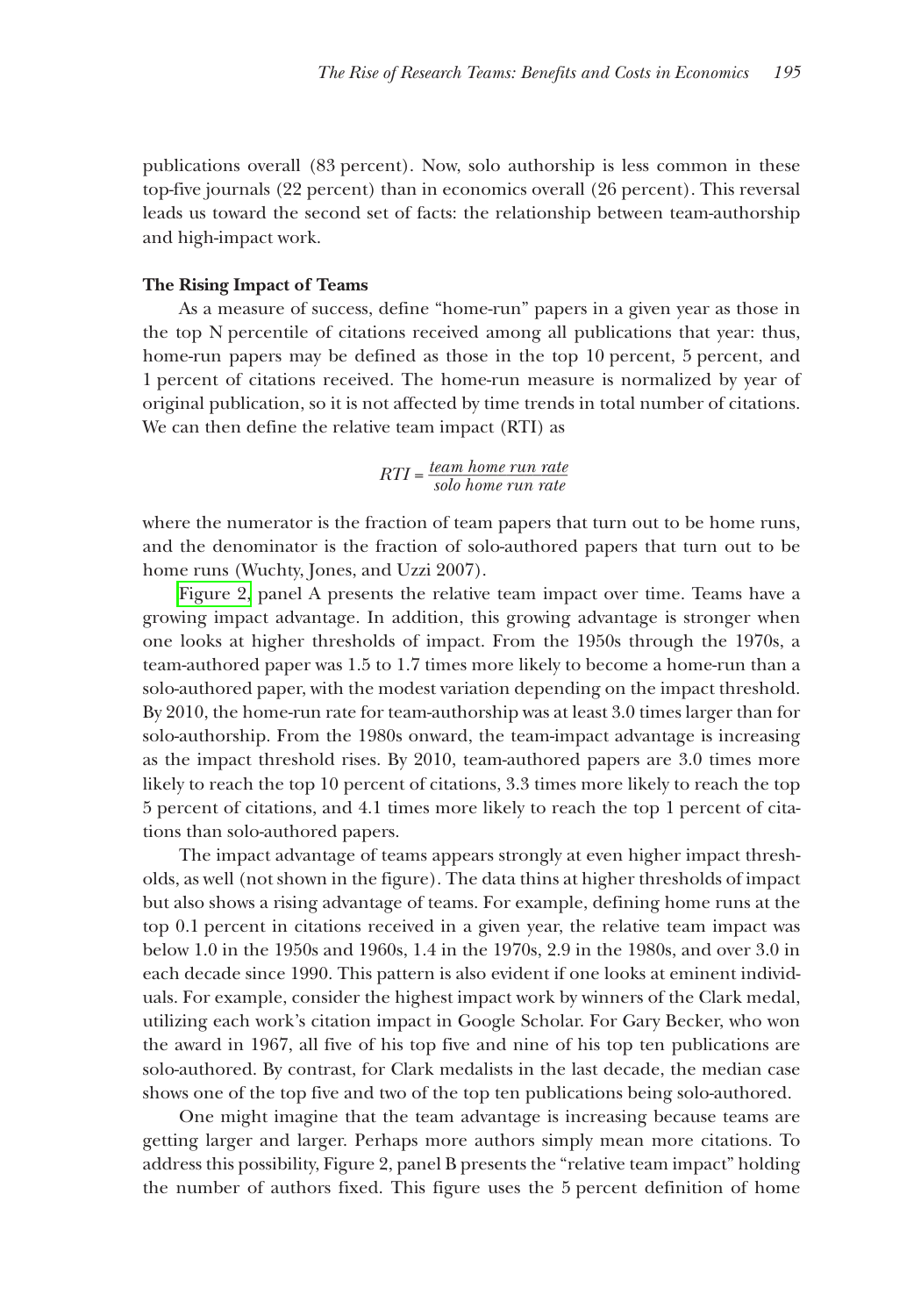publications overall (83 percent). Now, solo authorship is less common in these top-five journals (22 percent) than in economics overall (26 percent). This reversal leads us toward the second set of facts: the relationship between team-authorship and high-impact work.

#### **The Rising Impact of Teams**

As a measure of success, define "home-run" papers in a given year as those in the top N percentile of citations received among all publications that year: thus, home-run papers may be defined as those in the top 10 percent, 5 percent, and 1 percent of citations received. The home-run measure is normalized by year of original publication, so it is not affected by time trends in total number of citations. We can then define the relative team impact (RTI) as

# $RTI = \frac{team home run rate}{\text{color}}$ *la* impact (RTI) as<br>*team home run rate solo home run rate*

where the numerator is the fraction of team papers that turn out to be home runs, and the denominator is the fraction of solo-authored papers that turn out to be home runs (Wuchty, Jones, and Uzzi 2007).

[Figure 2,](#page-5-0) panel A presents the relative team impact over time. Teams have a growing impact advantage. In addition, this growing advantage is stronger when one looks at higher thresholds of impact. From the 1950s through the 1970s, a team-authored paper was 1.5 to 1.7 times more likely to become a home-run than a solo-authored paper, with the modest variation depending on the impact threshold. By 2010, the home-run rate for team-authorship was at least 3.0 times larger than for solo-authorship. From the 1980s onward, the team-impact advantage is increasing as the impact threshold rises. By 2010, team-authored papers are 3.0 times more likely to reach the top 10 percent of citations, 3.3 times more likely to reach the top 5 percent of citations, and 4.1 times more likely to reach the top 1 percent of citations than solo-authored papers.

The impact advantage of teams appears strongly at even higher impact thresholds, as well (not shown in the figure). The data thins at higher thresholds of impact but also shows a rising advantage of teams. For example, defining home runs at the top 0.1 percent in citations received in a given year, the relative team impact was below 1.0 in the 1950s and 1960s, 1.4 in the 1970s, 2.9 in the 1980s, and over 3.0 in each decade since 1990. This pattern is also evident if one looks at eminent individuals. For example, consider the highest impact work by winners of the Clark medal, utilizing each work's citation impact in Google Scholar. For Gary Becker, who won the award in 1967, all five of his top five and nine of his top ten publications are solo-authored. By contrast, for Clark medalists in the last decade, the median case shows one of the top five and two of the top ten publications being solo-authored.

One might imagine that the team advantage is increasing because teams are getting larger and larger. Perhaps more authors simply mean more citations. To address this possibility, Figure 2, panel B presents the "relative team impact" holding the number of authors fixed. This figure uses the 5 percent definition of home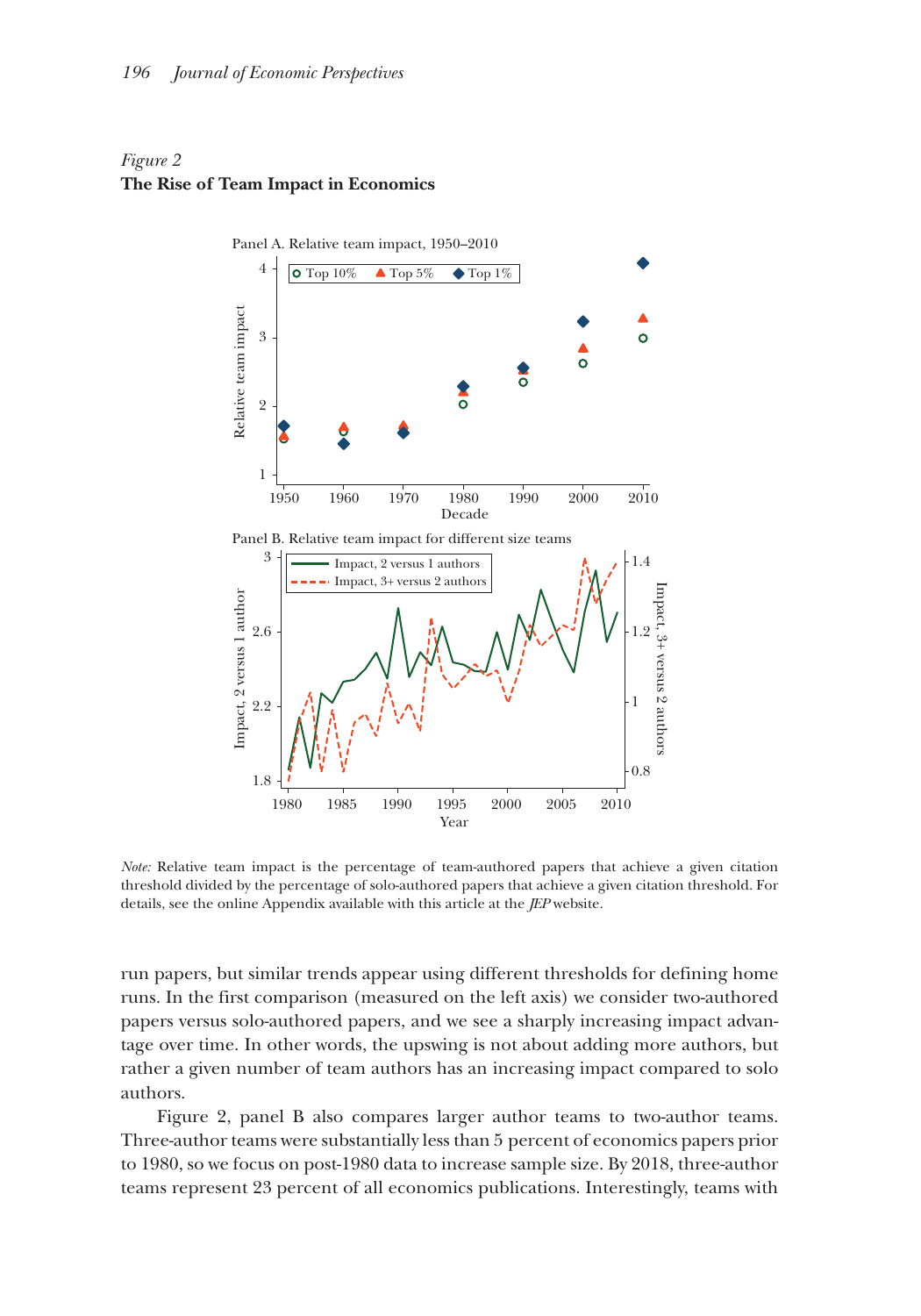## <span id="page-5-0"></span>*Figure 2* **The Rise of Team Impact in Economics**



*Note:* Relative team impact is the percentage of team-authored papers that achieve a given citation threshold divided by the percentage of solo-authored papers that achieve a given citation threshold. For details, see the online Appendix available with this article at the *JEP* website.

run papers, but similar trends appear using different thresholds for defining home runs. In the first comparison (measured on the left axis) we consider two-authored papers versus solo-authored papers, and we see a sharply increasing impact advantage over time. In other words, the upswing is not about adding more authors, but rather a given number of team authors has an increasing impact compared to solo authors.

Figure 2, panel B also compares larger author teams to two-author teams. Three-author teams were substantially less than 5 percent of economics papers prior to 1980, so we focus on post-1980 data to increase sample size. By 2018, three-author teams represent 23 percent of all economics publications. Interestingly, teams with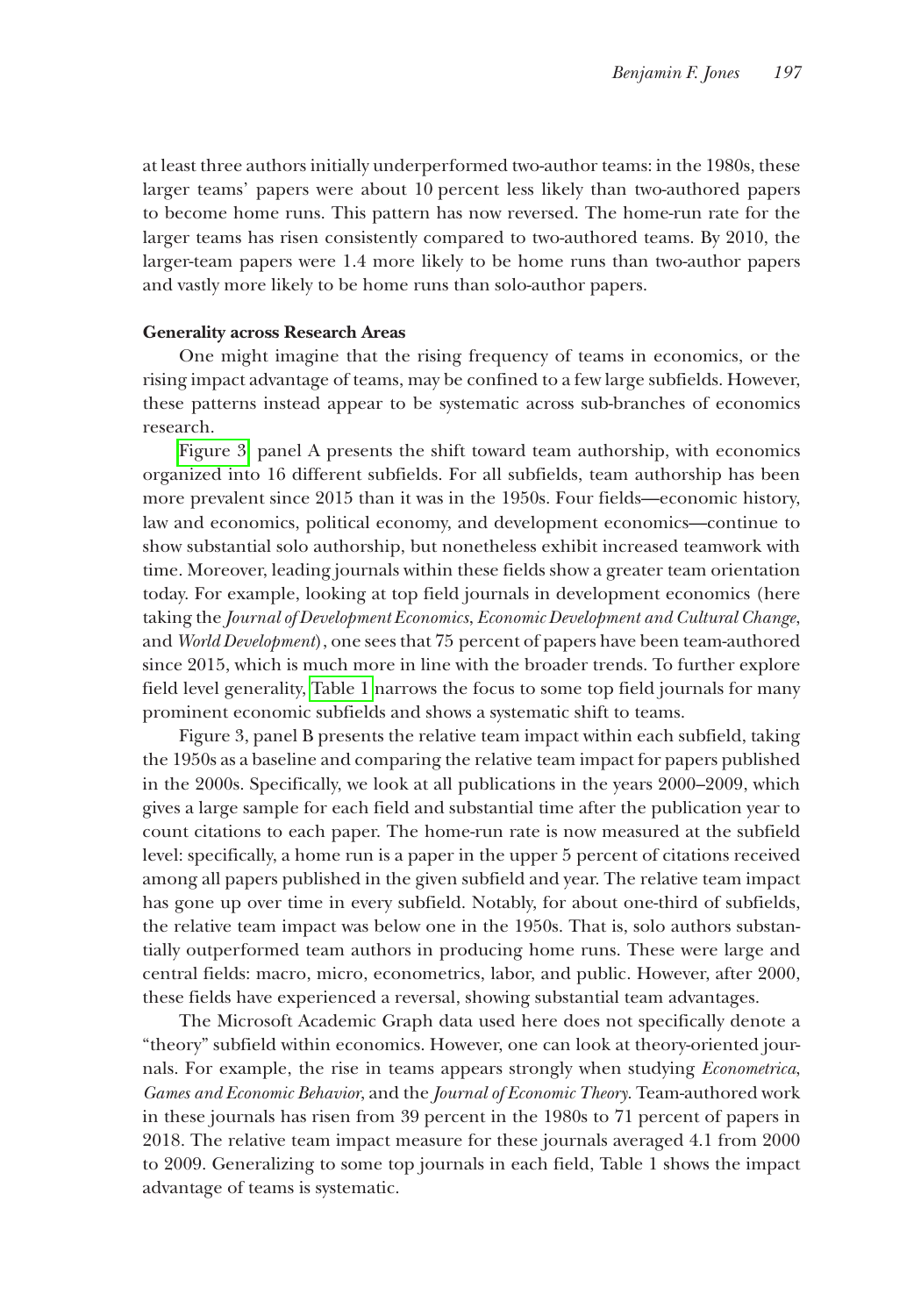at least three authors initially underperformed two-author teams: in the 1980s, these larger teams' papers were about 10 percent less likely than two-authored papers to become home runs. This pattern has now reversed. The home-run rate for the larger teams has risen consistently compared to two-authored teams. By 2010, the larger-team papers were 1.4 more likely to be home runs than two-author papers and vastly more likely to be home runs than solo-author papers.

#### **Generality across Research Areas**

One might imagine that the rising frequency of teams in economics, or the rising impact advantage of teams, may be confined to a few large subfields. However, these patterns instead appear to be systematic across sub-branches of economics research.

[Figure 3,](#page-7-0) panel A presents the shift toward team authorship, with economics organized into 16 different subfields. For all subfields, team authorship has been more prevalent since 2015 than it was in the 1950s. Four fields—economic history, law and economics, political economy, and development economics—continue to show substantial solo authorship, but nonetheless exhibit increased teamwork with time. Moreover, leading journals within these fields show a greater team orientation today. For example, looking at top field journals in development economics (here taking the *Journal of Development Economics*, *Economic Development and Cultural Change*, and *World Development*), one sees that 75 percent of papers have been team-authored since 2015, which is much more in line with the broader trends. To further explore field level generality, [Table 1](#page-8-0) narrows the focus to some top field journals for many prominent economic subfields and shows a systematic shift to teams.

Figure 3, panel B presents the relative team impact within each subfield, taking the 1950s as a baseline and comparing the relative team impact for papers published in the 2000s. Specifically, we look at all publications in the years 2000–2009, which gives a large sample for each field and substantial time after the publication year to count citations to each paper. The home-run rate is now measured at the subfield level: specifically, a home run is a paper in the upper 5 percent of citations received among all papers published in the given subfield and year. The relative team impact has gone up over time in every subfield. Notably, for about one-third of subfields, the relative team impact was below one in the 1950s. That is, solo authors substantially outperformed team authors in producing home runs. These were large and central fields: macro, micro, econometrics, labor, and public. However, after 2000, these fields have experienced a reversal, showing substantial team advantages.

The Microsoft Academic Graph data used here does not specifically denote a "theory" subfield within economics. However, one can look at theory-oriented journals. For example, the rise in teams appears strongly when studying *Econometrica*, *Games and Economic Behavior*, and the *Journal of Economic Theory*. Team-authored work in these journals has risen from 39 percent in the 1980s to 71 percent of papers in 2018. The relative team impact measure for these journals averaged 4.1 from 2000 to 2009. Generalizing to some top journals in each field, Table 1 shows the impact advantage of teams is systematic.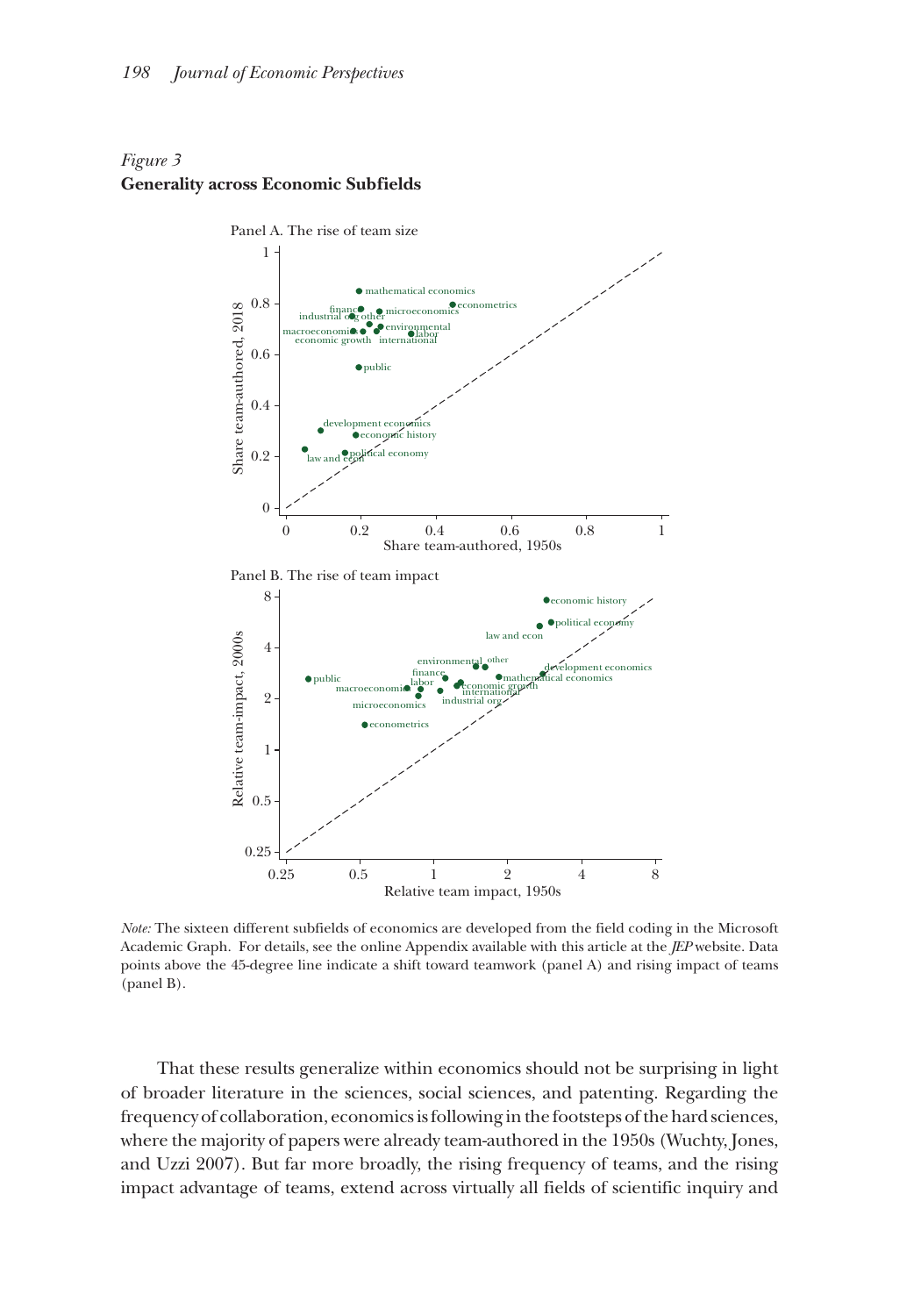## <span id="page-7-0"></span>*Figure 3* **Generality across Economic Subfields**



*Note:* The sixteen different subfields of economics are developed from the field coding in the Microsoft Academic Graph. For details, see the online Appendix available with this article at the *JEP* website. Data points above the 45-degree line indicate a shift toward teamwork (panel A) and rising impact of teams (panel B).

That these results generalize within economics should not be surprising in light of broader literature in the sciences, social sciences, and patenting. Regarding the frequency of collaboration, economics is following in the footsteps of the hard sciences, where the majority of papers were already team-authored in the 1950s (Wuchty, Jones, and Uzzi 2007). But far more broadly, the rising frequency of teams, and the rising impact advantage of teams, extend across virtually all fields of scientific inquiry and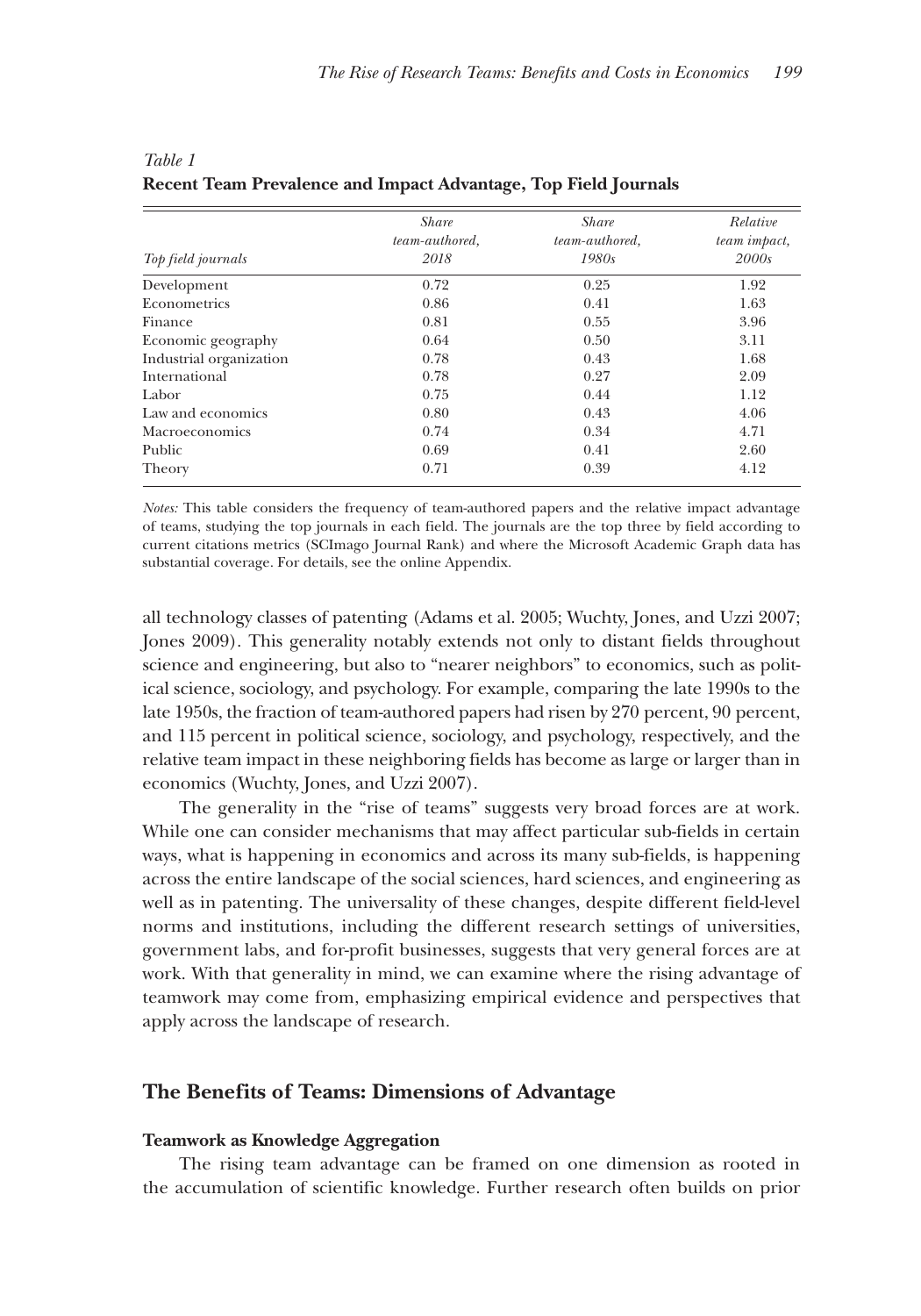| Top field journals      | <b>Share</b><br>team-authored,<br>2018 | <b>Share</b><br>team-authored,<br>1980s | Relative<br>team impact,<br>2000s |
|-------------------------|----------------------------------------|-----------------------------------------|-----------------------------------|
| Development             | 0.72                                   | 0.25                                    | 1.92                              |
| Econometrics            | 0.86                                   | 0.41                                    | 1.63                              |
| Finance                 | 0.81                                   | 0.55                                    | 3.96                              |
| Economic geography      | 0.64                                   | 0.50                                    | 3.11                              |
| Industrial organization | 0.78                                   | 0.43                                    | 1.68                              |
| International           | 0.78                                   | 0.27                                    | 2.09                              |
| Labor                   | 0.75                                   | 0.44                                    | 1.12                              |
| Law and economics       | 0.80                                   | 0.43                                    | 4.06                              |
| Macroeconomics          | 0.74                                   | 0.34                                    | 4.71                              |
| Public                  | 0.69                                   | 0.41                                    | 2.60                              |
| Theory                  | 0.71                                   | 0.39                                    | 4.12                              |

## <span id="page-8-0"></span>*Table 1* **Recent Team Prevalence and Impact Advantage, Top Field Journals**

*Notes:* This table considers the frequency of team-authored papers and the relative impact advantage of teams, studying the top journals in each field. The journals are the top three by field according to current citations metrics (SCImago Journal Rank) and where the Microsoft Academic Graph data has substantial coverage. For details, see the online Appendix.

all technology classes of patenting (Adams et al. 2005; Wuchty, Jones, and Uzzi 2007; Jones 2009). This generality notably extends not only to distant fields throughout science and engineering, but also to "nearer neighbors" to economics, such as political science, sociology, and psychology. For example, comparing the late 1990s to the late 1950s, the fraction of team-authored papers had risen by 270 percent, 90 percent, and 115 percent in political science, sociology, and psychology, respectively, and the relative team impact in these neighboring fields has become as large or larger than in economics (Wuchty, Jones, and Uzzi 2007).

The generality in the "rise of teams" suggests very broad forces are at work. While one can consider mechanisms that may affect particular sub-fields in certain ways, what is happening in economics and across its many sub-fields, is happening across the entire landscape of the social sciences, hard sciences, and engineering as well as in patenting. The universality of these changes, despite different field-level norms and institutions, including the different research settings of universities, government labs, and for-profit businesses, suggests that very general forces are at work. With that generality in mind, we can examine where the rising advantage of teamwork may come from, emphasizing empirical evidence and perspectives that apply across the landscape of research.

## **The Benefits of Teams: Dimensions of Advantage**

#### **Teamwork as Knowledge Aggregation**

The rising team advantage can be framed on one dimension as rooted in the accumulation of scientific knowledge. Further research often builds on prior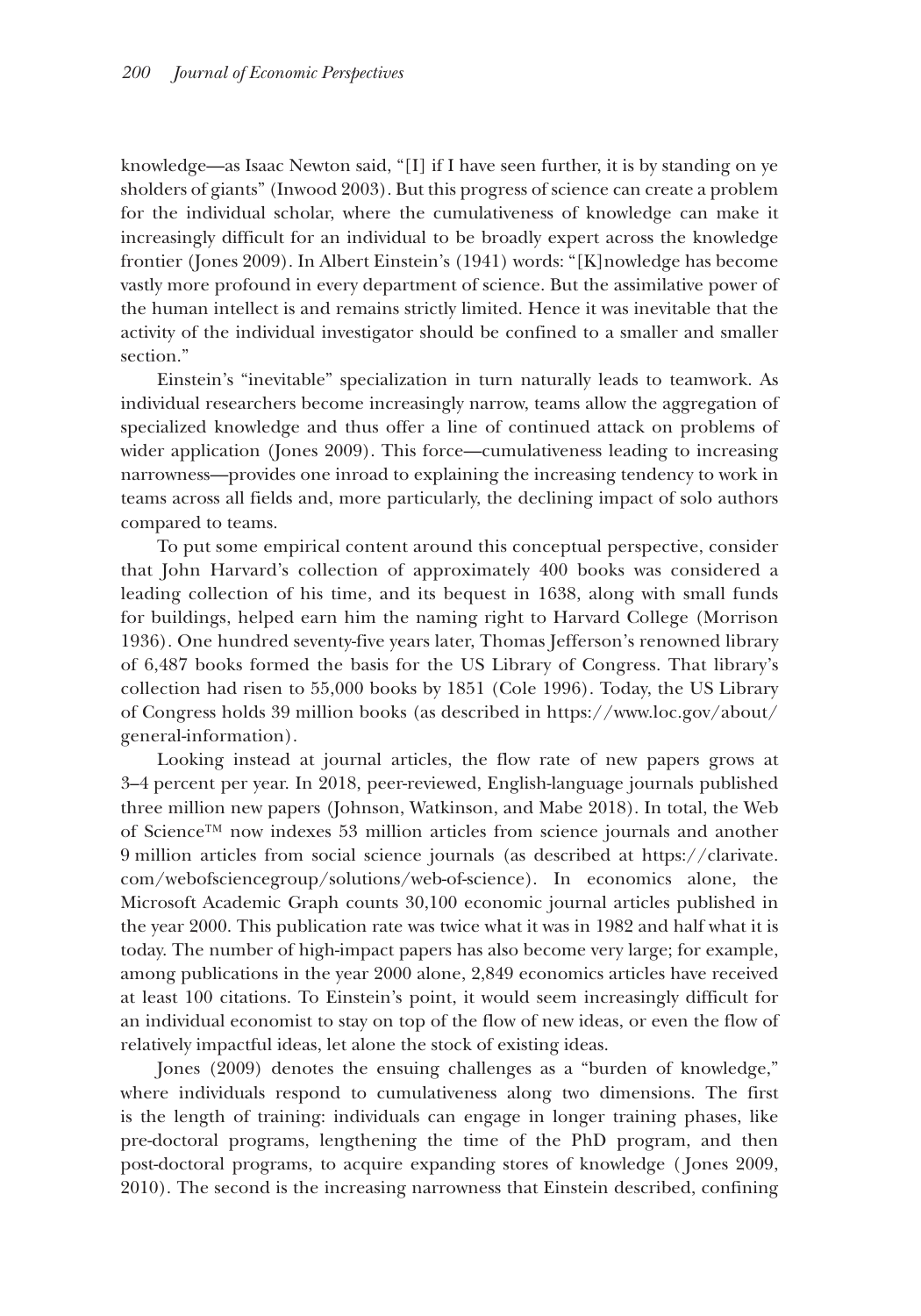knowledge—as Isaac Newton said, "[I] if I have seen further, it is by standing on ye sholders of giants" (Inwood 2003). But this progress of science can create a problem for the individual scholar, where the cumulativeness of knowledge can make it increasingly difficult for an individual to be broadly expert across the knowledge frontier (Jones 2009). In Albert Einstein's (1941) words: "[K]nowledge has become vastly more profound in every department of science. But the assimilative power of the human intellect is and remains strictly limited. Hence it was inevitable that the activity of the individual investigator should be confined to a smaller and smaller section."

Einstein's "inevitable" specialization in turn naturally leads to teamwork. As individual researchers become increasingly narrow, teams allow the aggregation of specialized knowledge and thus offer a line of continued attack on problems of wider application (Jones 2009). This force—cumulativeness leading to increasing narrowness—provides one inroad to explaining the increasing tendency to work in teams across all fields and, more particularly, the declining impact of solo authors compared to teams.

To put some empirical content around this conceptual perspective, consider that John Harvard's collection of approximately 400 books was considered a leading collection of his time, and its bequest in 1638, along with small funds for buildings, helped earn him the naming right to Harvard College (Morrison 1936). One hundred seventy-five years later, Thomas Jefferson's renowned library of 6,487 books formed the basis for the US Library of Congress. That library's collection had risen to 55,000 books by 1851 (Cole 1996). Today, the US Library of Congress holds 39 million books (as described in https://[www.loc.gov/about/](http://www.loc.gov/about/general-information) [general-information\).](http://www.loc.gov/about/general-information) 

Looking instead at journal articles, the flow rate of new papers grows at 3–4 percent per year. In 2018, peer-reviewed, English-language journals published three million new papers (Johnson, Watkinson, and Mabe 2018). In total, the Web of Science™ now indexes 53 million articles from science journals and another 9 million articles from social science journals (as described at [https://clarivate.](https://clarivate.com/webofsciencegroup/solutions/%20web-of-science) [com/webofsciencegroup/solutions/web-of-scienc](https://clarivate.com/webofsciencegroup/solutions/%20web-of-science)e). In economics alone, the Microsoft Academic Graph counts 30,100 economic journal articles published in the year 2000. This publication rate was twice what it was in 1982 and half what it is today. The number of high-impact papers has also become very large; for example, among publications in the year 2000 alone, 2,849 economics articles have received at least 100 citations. To Einstein's point, it would seem increasingly difficult for an individual economist to stay on top of the flow of new ideas, or even the flow of relatively impactful ideas, let alone the stock of existing ideas.

Jones (2009) denotes the ensuing challenges as a "burden of knowledge," where individuals respond to cumulativeness along two dimensions. The first is the length of training: individuals can engage in longer training phases, like pre-doctoral programs, lengthening the time of the PhD program, and then post-doctoral programs, to acquire expanding stores of knowledge ( Jones 2009, 2010). The second is the increasing narrowness that Einstein described, confining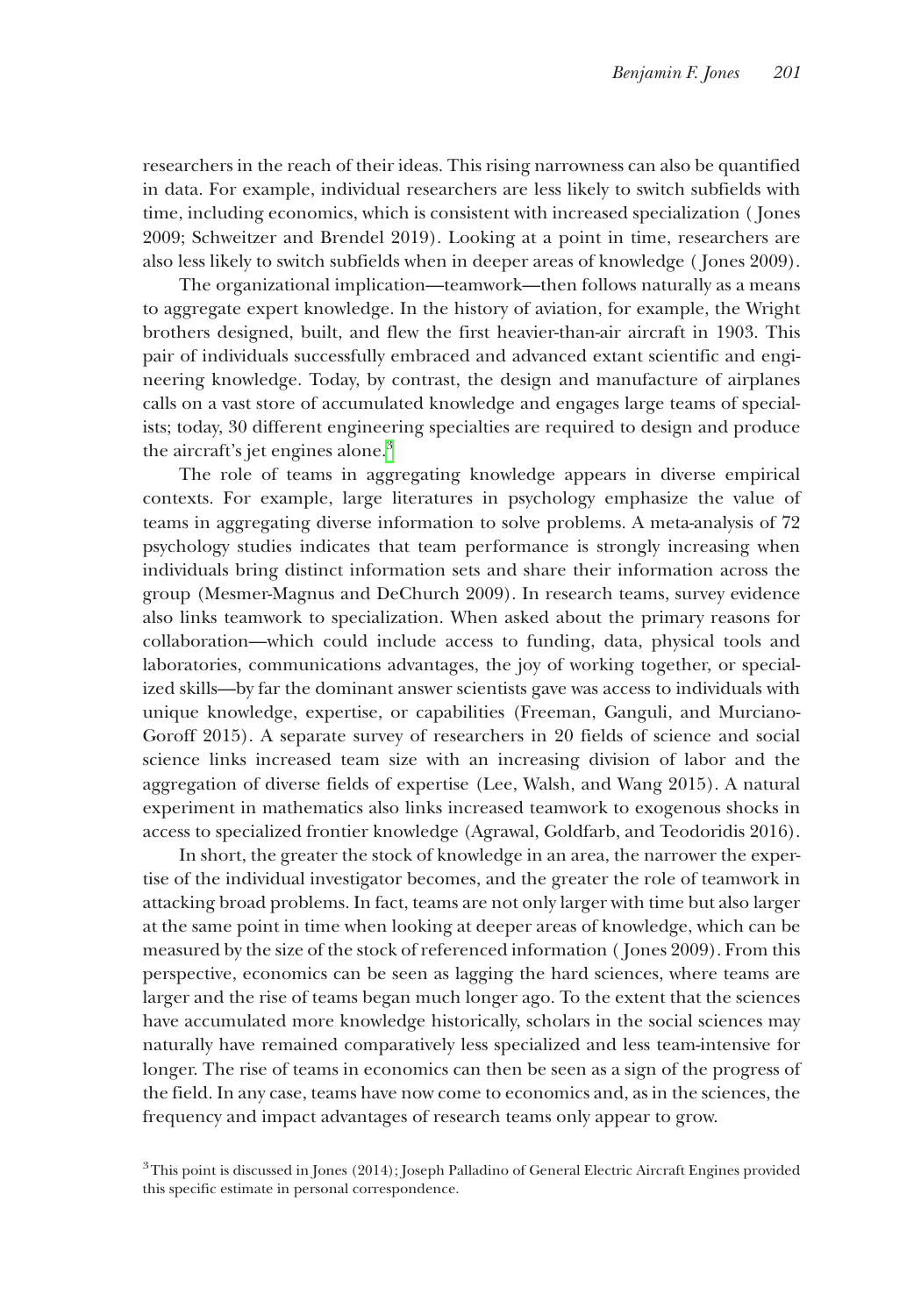researchers in the reach of their ideas. This rising narrowness can also be quantified in data. For example, individual researchers are less likely to switch subfields with time, including economics, which is consistent with increased specialization ( Jones 2009; Schweitzer and Brendel 2019). Looking at a point in time, researchers are also less likely to switch subfields when in deeper areas of knowledge ( Jones 2009).

The organizational implication—teamwork—then follows naturally as a means to aggregate expert knowledge. In the history of aviation, for example, the Wright brothers designed, built, and flew the first heavier-than-air aircraft in 1903. This pair of individuals successfully embraced and advanced extant scientific and engineering knowledge. Today, by contrast, the design and manufacture of airplanes calls on a vast store of accumulated knowledge and engages large teams of specialists; today, 30 different engineering specialties are required to design and produce the aircraft's jet engines alone. $3$ 

The role of teams in aggregating knowledge appears in diverse empirical contexts. For example, large literatures in psychology emphasize the value of teams in aggregating diverse information to solve problems. A meta-analysis of 72 psychology studies indicates that team performance is strongly increasing when individuals bring distinct information sets and share their information across the group (Mesmer-Magnus and DeChurch 2009). In research teams, survey evidence also links teamwork to specialization. When asked about the primary reasons for collaboration—which could include access to funding, data, physical tools and laboratories, communications advantages, the joy of working together, or specialized skills—by far the dominant answer scientists gave was access to individuals with unique knowledge, expertise, or capabilities (Freeman, Ganguli, and Murciano-Goroff 2015). A separate survey of researchers in 20 fields of science and social science links increased team size with an increasing division of labor and the aggregation of diverse fields of expertise (Lee, Walsh, and Wang 2015). A natural experiment in mathematics also links increased teamwork to exogenous shocks in access to specialized frontier knowledge (Agrawal, Goldfarb, and Teodoridis 2016).

In short, the greater the stock of knowledge in an area, the narrower the expertise of the individual investigator becomes, and the greater the role of teamwork in attacking broad problems. In fact, teams are not only larger with time but also larger at the same point in time when looking at deeper areas of knowledge, which can be measured by the size of the stock of referenced information ( Jones 2009). From this perspective, economics can be seen as lagging the hard sciences, where teams are larger and the rise of teams began much longer ago. To the extent that the sciences have accumulated more knowledge historically, scholars in the social sciences may naturally have remained comparatively less specialized and less team-intensive for longer. The rise of teams in economics can then be seen as a sign of the progress of the field. In any case, teams have now come to economics and, as in the sciences, the frequency and impact advantages of research teams only appear to grow.

<span id="page-10-0"></span><sup>3</sup>This point is discussed in Jones (2014); Joseph Palladino of General Electric Aircraft Engines provided this specific estimate in personal correspondence.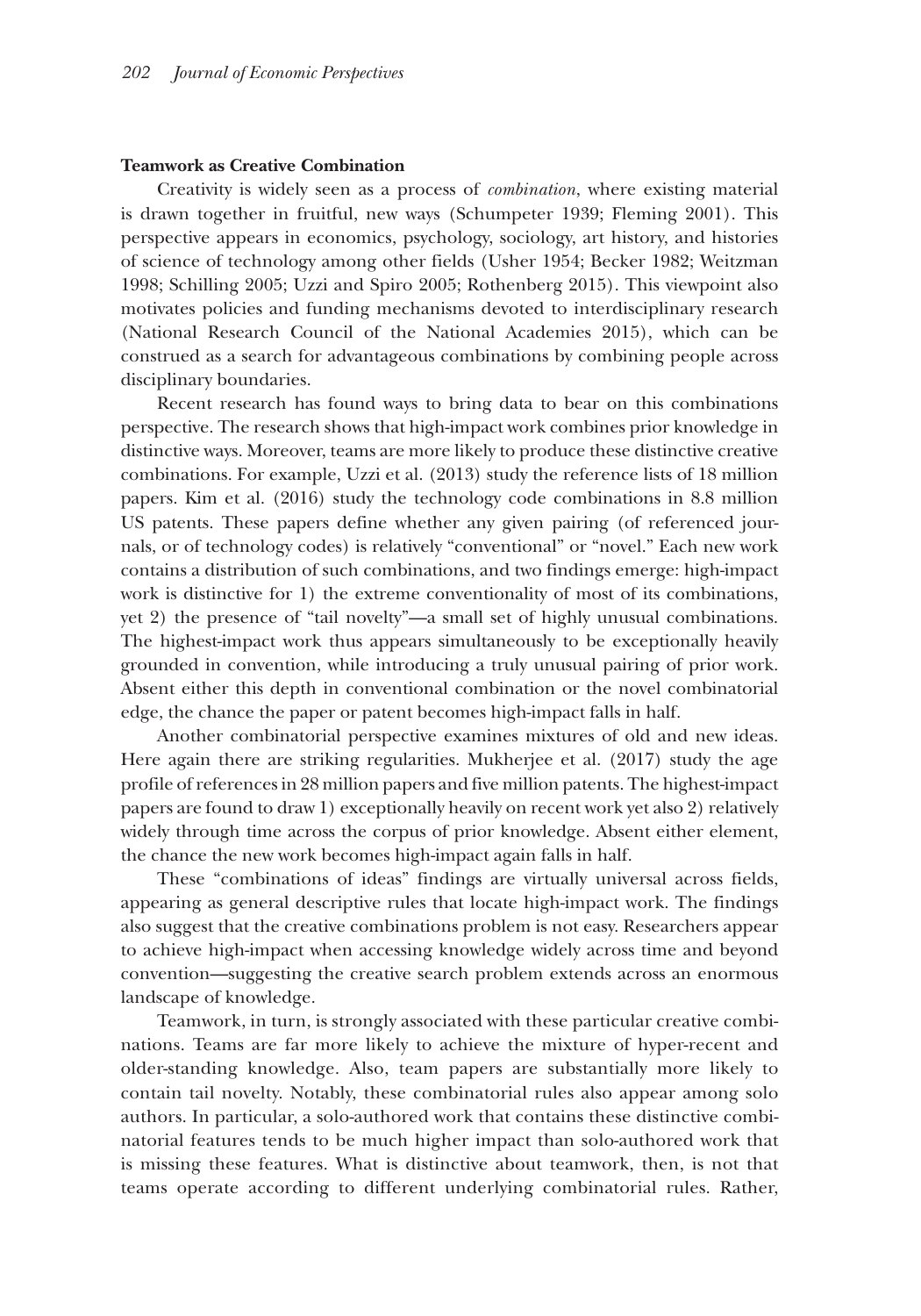#### **Teamwork as Creative Combination**

Creativity is widely seen as a process of *combination*, where existing material is drawn together in fruitful, new ways (Schumpeter 1939; Fleming 2001). This perspective appears in economics, psychology, sociology, art history, and histories of science of technology among other fields (Usher 1954; Becker 1982; Weitzman 1998; Schilling 2005; Uzzi and Spiro 2005; Rothenberg 2015). This viewpoint also motivates policies and funding mechanisms devoted to interdisciplinary research (National Research Council of the National Academies 2015), which can be construed as a search for advantageous combinations by combining people across disciplinary boundaries.

Recent research has found ways to bring data to bear on this combinations perspective. The research shows that high-impact work combines prior knowledge in distinctive ways. Moreover, teams are more likely to produce these distinctive creative combinations. For example, Uzzi et al. (2013) study the reference lists of 18 million papers. Kim et al. (2016) study the technology code combinations in 8.8 million US patents. These papers define whether any given pairing (of referenced journals, or of technology codes) is relatively "conventional" or "novel." Each new work contains a distribution of such combinations, and two findings emerge: high-impact work is distinctive for 1) the extreme conventionality of most of its combinations, yet 2) the presence of "tail novelty"—a small set of highly unusual combinations. The highest-impact work thus appears simultaneously to be exceptionally heavily grounded in convention, while introducing a truly unusual pairing of prior work. Absent either this depth in conventional combination or the novel combinatorial edge, the chance the paper or patent becomes high-impact falls in half.

Another combinatorial perspective examines mixtures of old and new ideas. Here again there are striking regularities. Mukherjee et al. (2017) study the age profile of references in 28 million papers and five million patents. The highest-impact papers are found to draw 1) exceptionally heavily on recent work yet also 2) relatively widely through time across the corpus of prior knowledge. Absent either element, the chance the new work becomes high-impact again falls in half.

These "combinations of ideas" findings are virtually universal across fields, appearing as general descriptive rules that locate high-impact work. The findings also suggest that the creative combinations problem is not easy. Researchers appear to achieve high-impact when accessing knowledge widely across time and beyond convention—suggesting the creative search problem extends across an enormous landscape of knowledge.

Teamwork, in turn, is strongly associated with these particular creative combinations. Teams are far more likely to achieve the mixture of hyper-recent and older-standing knowledge. Also, team papers are substantially more likely to contain tail novelty. Notably, these combinatorial rules also appear among solo authors. In particular, a solo-authored work that contains these distinctive combinatorial features tends to be much higher impact than solo-authored work that is missing these features. What is distinctive about teamwork, then, is not that teams operate according to different underlying combinatorial rules. Rather,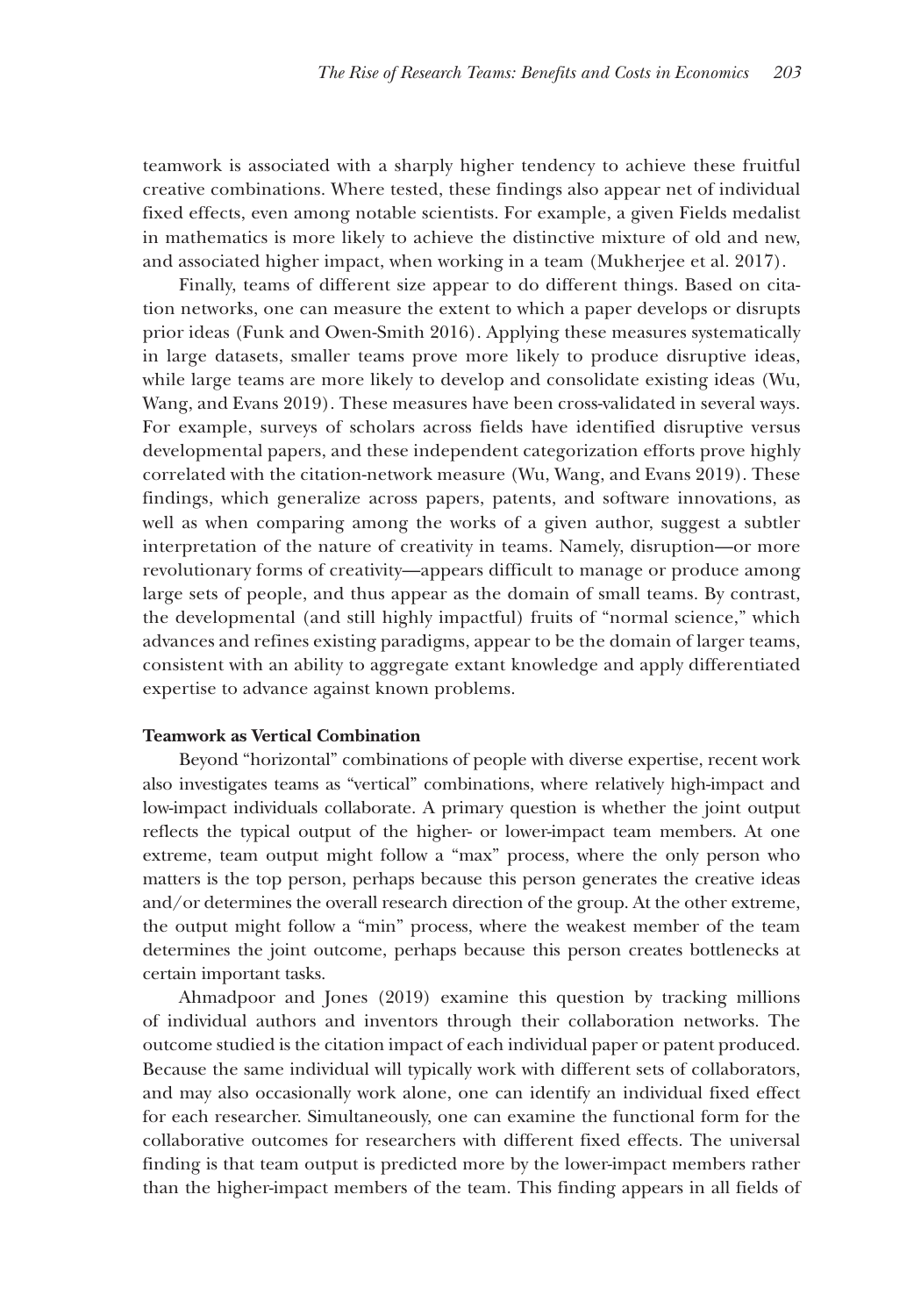teamwork is associated with a sharply higher tendency to achieve these fruitful creative combinations. Where tested, these findings also appear net of individual fixed effects, even among notable scientists. For example, a given Fields medalist in mathematics is more likely to achieve the distinctive mixture of old and new, and associated higher impact, when working in a team (Mukherjee et al. 2017).

Finally, teams of different size appear to do different things. Based on citation networks, one can measure the extent to which a paper develops or disrupts prior ideas (Funk and Owen-Smith 2016). Applying these measures systematically in large datasets, smaller teams prove more likely to produce disruptive ideas, while large teams are more likely to develop and consolidate existing ideas (Wu, Wang, and Evans 2019). These measures have been cross-validated in several ways. For example, surveys of scholars across fields have identified disruptive versus developmental papers, and these independent categorization efforts prove highly correlated with the citation-network measure (Wu, Wang, and Evans 2019). These findings, which generalize across papers, patents, and software innovations, as well as when comparing among the works of a given author, suggest a subtler interpretation of the nature of creativity in teams. Namely, disruption—or more revolutionary forms of creativity—appears difficult to manage or produce among large sets of people, and thus appear as the domain of small teams. By contrast, the developmental (and still highly impactful) fruits of "normal science," which advances and refines existing paradigms, appear to be the domain of larger teams, consistent with an ability to aggregate extant knowledge and apply differentiated expertise to advance against known problems.

#### **Teamwork as Vertical Combination**

Beyond "horizontal" combinations of people with diverse expertise, recent work also investigates teams as "vertical" combinations, where relatively high-impact and low-impact individuals collaborate. A primary question is whether the joint output reflects the typical output of the higher- or lower-impact team members. At one extreme, team output might follow a "max" process, where the only person who matters is the top person, perhaps because this person generates the creative ideas and/or determines the overall research direction of the group. At the other extreme, the output might follow a "min" process, where the weakest member of the team determines the joint outcome, perhaps because this person creates bottlenecks at certain important tasks.

Ahmadpoor and Jones (2019) examine this question by tracking millions of individual authors and inventors through their collaboration networks. The outcome studied is the citation impact of each individual paper or patent produced. Because the same individual will typically work with different sets of collaborators, and may also occasionally work alone, one can identify an individual fixed effect for each researcher. Simultaneously, one can examine the functional form for the collaborative outcomes for researchers with different fixed effects. The universal finding is that team output is predicted more by the lower-impact members rather than the higher-impact members of the team. This finding appears in all fields of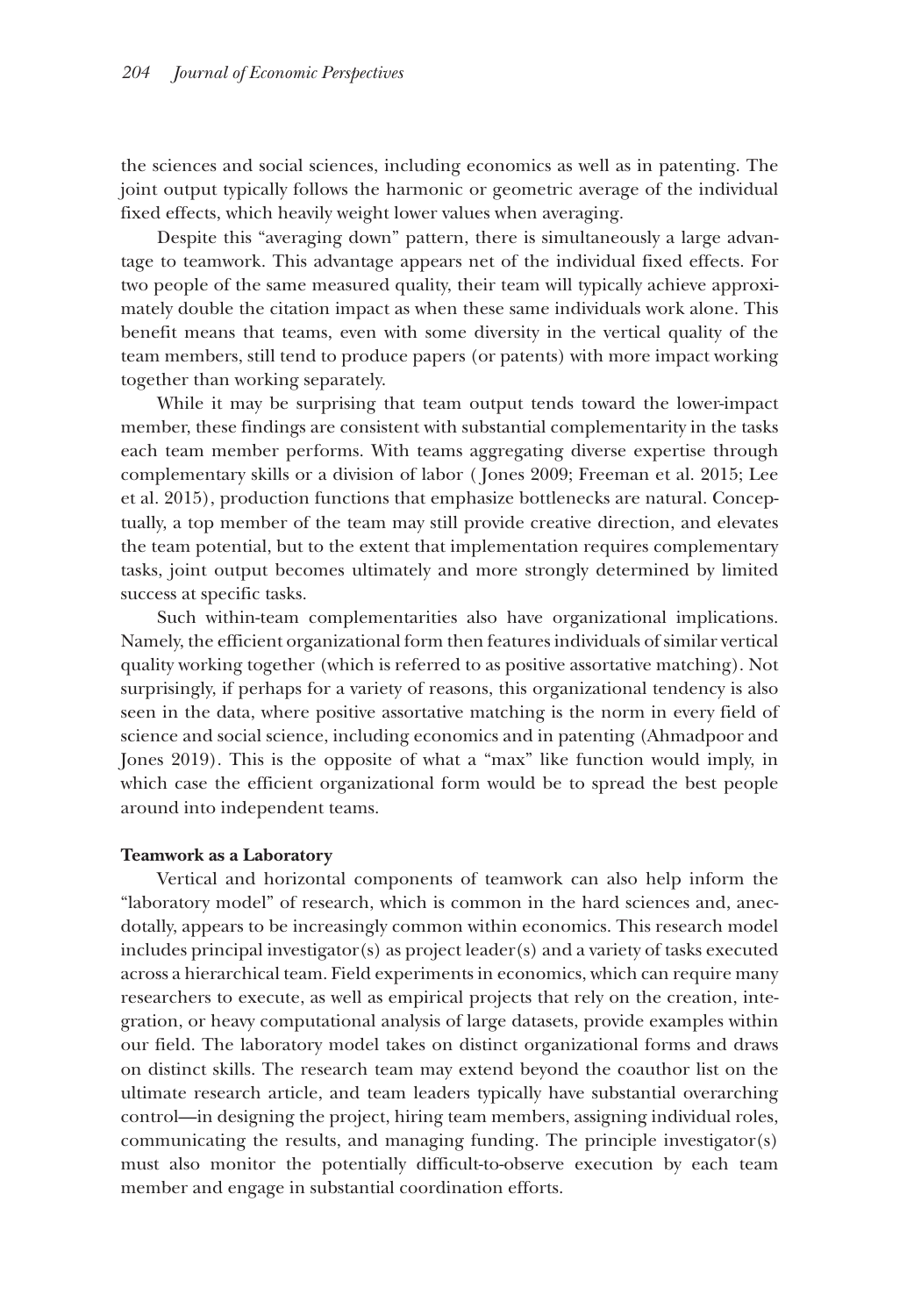the sciences and social sciences, including economics as well as in patenting. The joint output typically follows the harmonic or geometric average of the individual fixed effects, which heavily weight lower values when averaging.

Despite this "averaging down" pattern, there is simultaneously a large advantage to teamwork. This advantage appears net of the individual fixed effects. For two people of the same measured quality, their team will typically achieve approximately double the citation impact as when these same individuals work alone. This benefit means that teams, even with some diversity in the vertical quality of the team members, still tend to produce papers (or patents) with more impact working together than working separately.

While it may be surprising that team output tends toward the lower-impact member, these findings are consistent with substantial complementarity in the tasks each team member performs. With teams aggregating diverse expertise through complementary skills or a division of labor ( Jones 2009; Freeman et al. 2015; Lee et al. 2015), production functions that emphasize bottlenecks are natural. Conceptually, a top member of the team may still provide creative direction, and elevates the team potential, but to the extent that implementation requires complementary tasks, joint output becomes ultimately and more strongly determined by limited success at specific tasks.

Such within-team complementarities also have organizational implications. Namely, the efficient organizational form then features individuals of similar vertical quality working together (which is referred to as positive assortative matching). Not surprisingly, if perhaps for a variety of reasons, this organizational tendency is also seen in the data, where positive assortative matching is the norm in every field of science and social science, including economics and in patenting (Ahmadpoor and Jones 2019). This is the opposite of what a "max" like function would imply, in which case the efficient organizational form would be to spread the best people around into independent teams.

#### **Teamwork as a Laboratory**

Vertical and horizontal components of teamwork can also help inform the "laboratory model" of research, which is common in the hard sciences and, anecdotally, appears to be increasingly common within economics. This research model includes principal investigator(s) as project leader(s) and a variety of tasks executed across a hierarchical team. Field experiments in economics, which can require many researchers to execute, as well as empirical projects that rely on the creation, integration, or heavy computational analysis of large datasets, provide examples within our field. The laboratory model takes on distinct organizational forms and draws on distinct skills. The research team may extend beyond the coauthor list on the ultimate research article, and team leaders typically have substantial overarching control—in designing the project, hiring team members, assigning individual roles, communicating the results, and managing funding. The principle investigator(s) must also monitor the potentially difficult-to-observe execution by each team member and engage in substantial coordination efforts.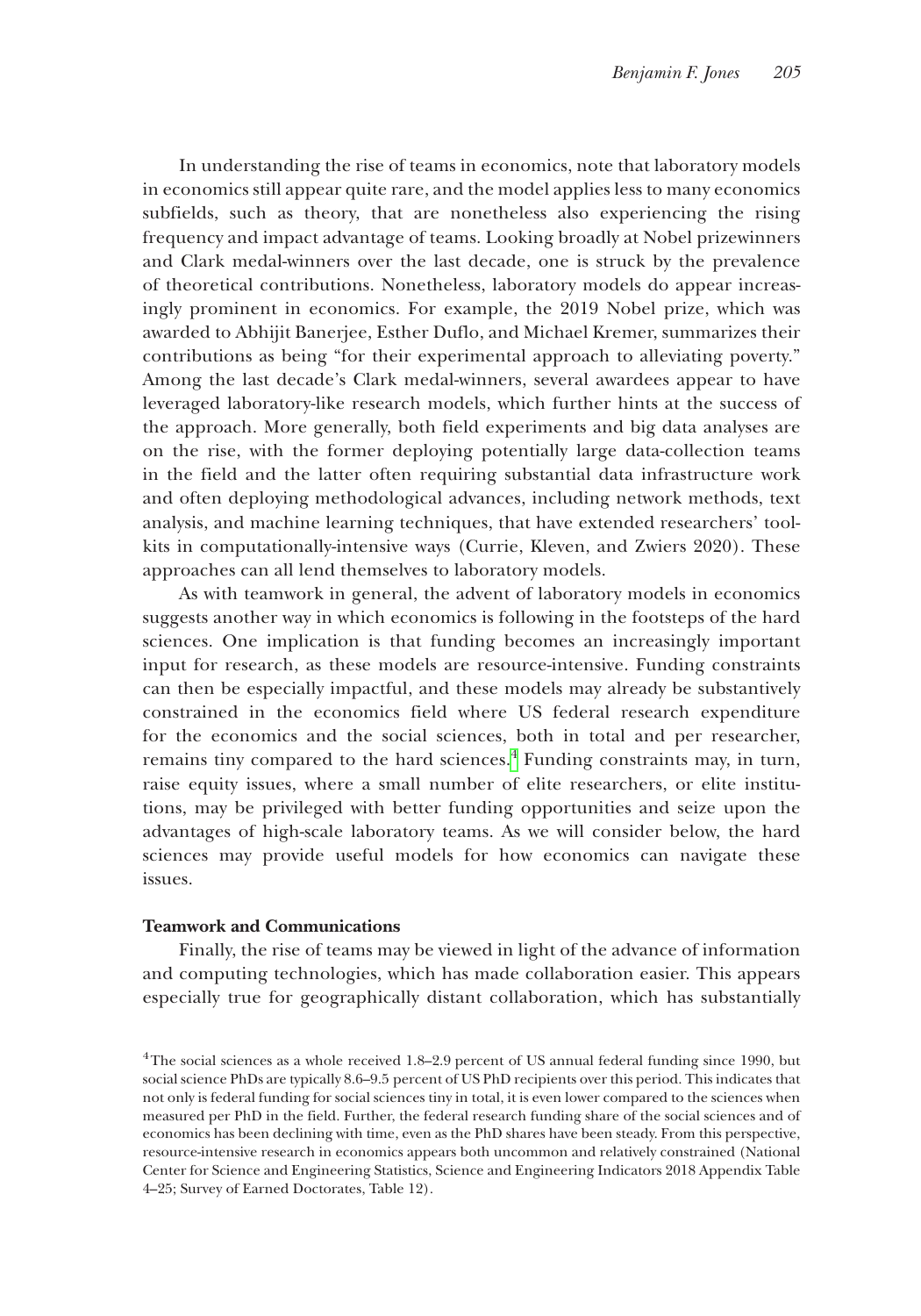In understanding the rise of teams in economics, note that laboratory models in economics still appear quite rare, and the model applies less to many economics subfields, such as theory, that are nonetheless also experiencing the rising frequency and impact advantage of teams. Looking broadly at Nobel prizewinners and Clark medal-winners over the last decade, one is struck by the prevalence of theoretical contributions. Nonetheless, laboratory models do appear increasingly prominent in economics. For example, the 2019 Nobel prize, which was awarded to Abhijit Banerjee, Esther Duflo, and Michael Kremer, summarizes their contributions as being "for their experimental approach to alleviating poverty." Among the last decade's Clark medal-winners, several awardees appear to have leveraged laboratory-like research models, which further hints at the success of the approach. More generally, both field experiments and big data analyses are on the rise, with the former deploying potentially large data-collection teams in the field and the latter often requiring substantial data infrastructure work and often deploying methodological advances, including network methods, text analysis, and machine learning techniques, that have extended researchers' toolkits in computationally-intensive ways (Currie, Kleven, and Zwiers 2020). These approaches can all lend themselves to laboratory models.

As with teamwork in general, the advent of laboratory models in economics suggests another way in which economics is following in the footsteps of the hard sciences. One implication is that funding becomes an increasingly important input for research, as these models are resource-intensive. Funding constraints can then be especially impactful, and these models may already be substantively constrained in the economics field where US federal research expenditure for the economics and the social sciences, both in total and per researcher, remains tiny compared to the hard sciences.<sup>[4](#page-14-0)</sup> Funding constraints may, in turn, raise equity issues, where a small number of elite researchers, or elite institutions, may be privileged with better funding opportunities and seize upon the advantages of high-scale laboratory teams. As we will consider below, the hard sciences may provide useful models for how economics can navigate these issues.

#### **Teamwork and Communications**

Finally, the rise of teams may be viewed in light of the advance of information and computing technologies, which has made collaboration easier. This appears especially true for geographically distant collaboration, which has substantially

<span id="page-14-0"></span><sup>4</sup>The social sciences as a whole received 1.8–2.9 percent of US annual federal funding since 1990, but social science PhDs are typically 8.6–9.5 percent of US PhD recipients over this period. This indicates that not only is federal funding for social sciences tiny in total, it is even lower compared to the sciences when measured per PhD in the field. Further, the federal research funding share of the social sciences and of economics has been declining with time, even as the PhD shares have been steady. From this perspective, resource-intensive research in economics appears both uncommon and relatively constrained (National Center for Science and Engineering Statistics, Science and Engineering Indicators 2018 Appendix Table 4–25; Survey of Earned Doctorates, Table 12).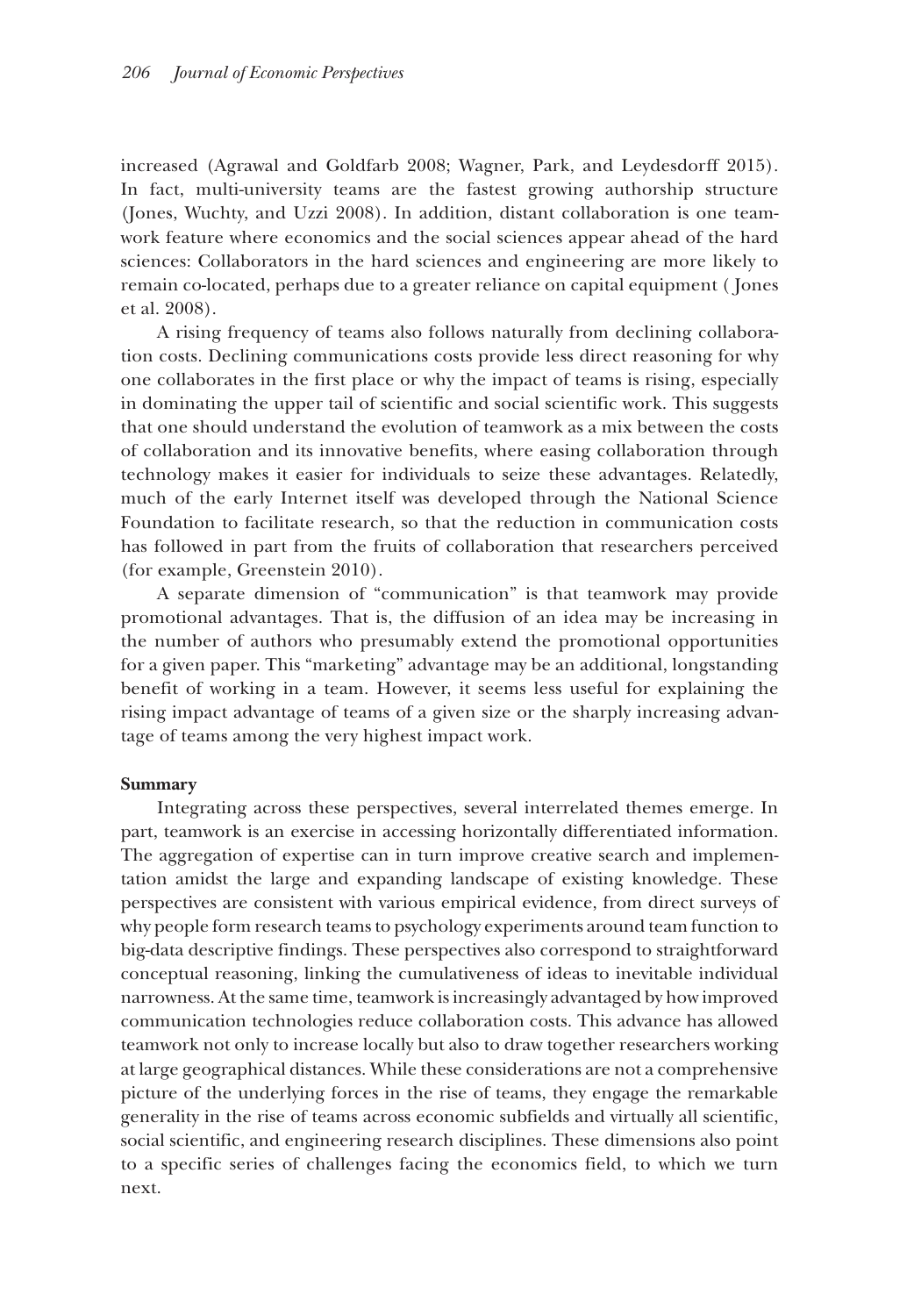increased (Agrawal and Goldfarb 2008; Wagner, Park, and Leydesdorff 2015). In fact, multi-university teams are the fastest growing authorship structure (Jones, Wuchty, and Uzzi 2008). In addition, distant collaboration is one teamwork feature where economics and the social sciences appear ahead of the hard sciences: Collaborators in the hard sciences and engineering are more likely to remain co-located, perhaps due to a greater reliance on capital equipment ( Jones et al. 2008).

A rising frequency of teams also follows naturally from declining collaboration costs. Declining communications costs provide less direct reasoning for why one collaborates in the first place or why the impact of teams is rising, especially in dominating the upper tail of scientific and social scientific work. This suggests that one should understand the evolution of teamwork as a mix between the costs of collaboration and its innovative benefits, where easing collaboration through technology makes it easier for individuals to seize these advantages. Relatedly, much of the early Internet itself was developed through the National Science Foundation to facilitate research, so that the reduction in communication costs has followed in part from the fruits of collaboration that researchers perceived (for example, Greenstein 2010).

A separate dimension of "communication" is that teamwork may provide promotional advantages. That is, the diffusion of an idea may be increasing in the number of authors who presumably extend the promotional opportunities for a given paper. This "marketing" advantage may be an additional, longstanding benefit of working in a team. However, it seems less useful for explaining the rising impact advantage of teams of a given size or the sharply increasing advantage of teams among the very highest impact work.

#### **Summary**

Integrating across these perspectives, several interrelated themes emerge. In part, teamwork is an exercise in accessing horizontally differentiated information. The aggregation of expertise can in turn improve creative search and implementation amidst the large and expanding landscape of existing knowledge. These perspectives are consistent with various empirical evidence, from direct surveys of why people form research teams to psychology experiments around team function to big-data descriptive findings. These perspectives also correspond to straightforward conceptual reasoning, linking the cumulativeness of ideas to inevitable individual narrowness. At the same time, teamwork is increasingly advantaged by how improved communication technologies reduce collaboration costs. This advance has allowed teamwork not only to increase locally but also to draw together researchers working at large geographical distances. While these considerations are not a comprehensive picture of the underlying forces in the rise of teams, they engage the remarkable generality in the rise of teams across economic subfields and virtually all scientific, social scientific, and engineering research disciplines. These dimensions also point to a specific series of challenges facing the economics field, to which we turn next.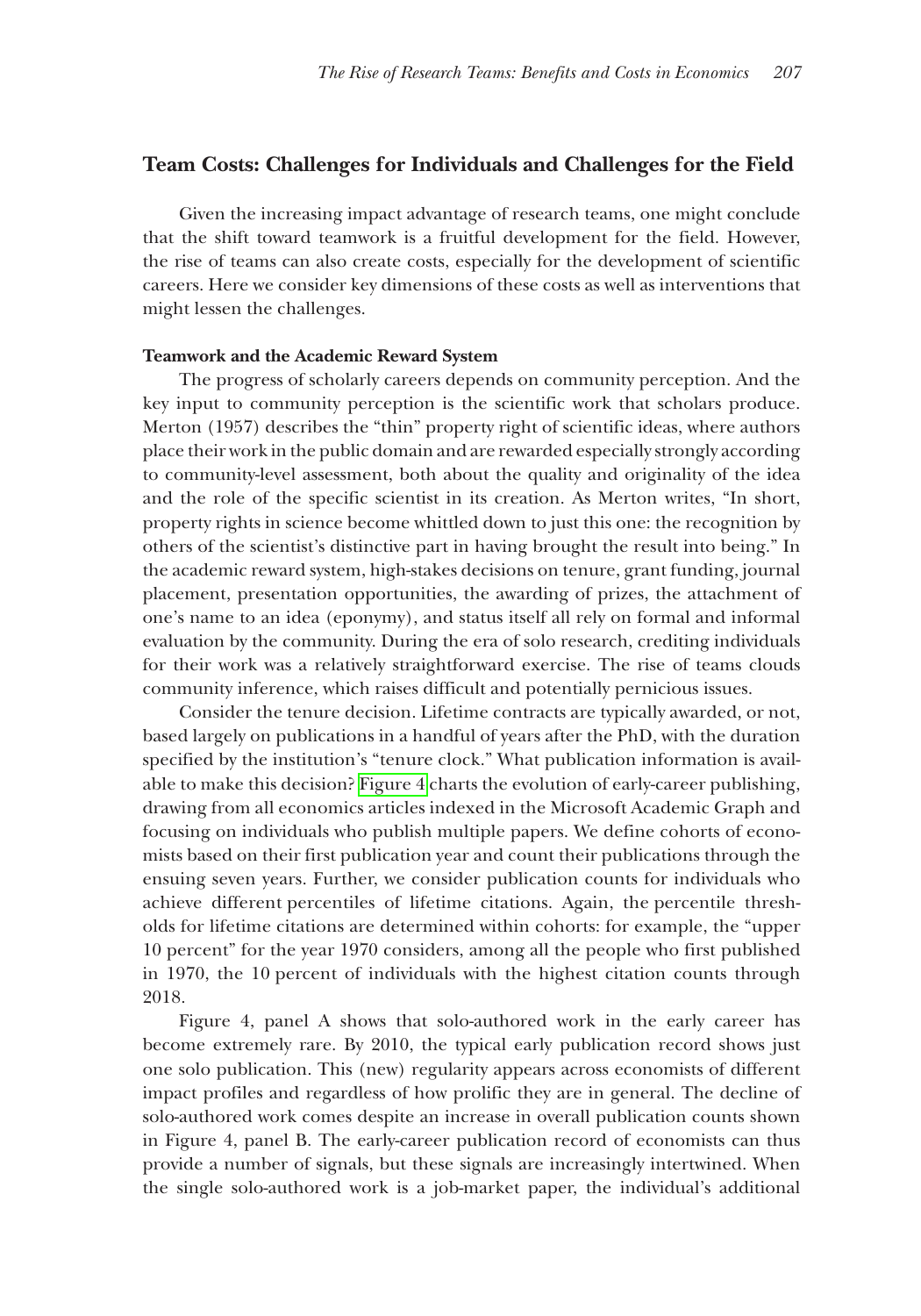#### **Team Costs: Challenges for Individuals and Challenges for the Field**

Given the increasing impact advantage of research teams, one might conclude that the shift toward teamwork is a fruitful development for the field. However, the rise of teams can also create costs, especially for the development of scientific careers. Here we consider key dimensions of these costs as well as interventions that might lessen the challenges.

#### **Teamwork and the Academic Reward System**

The progress of scholarly careers depends on community perception. And the key input to community perception is the scientific work that scholars produce. Merton (1957) describes the "thin" property right of scientific ideas, where authors place their work in the public domain and are rewarded especially strongly according to community-level assessment, both about the quality and originality of the idea and the role of the specific scientist in its creation. As Merton writes, "In short, property rights in science become whittled down to just this one: the recognition by others of the scientist's distinctive part in having brought the result into being." In the academic reward system, high-stakes decisions on tenure, grant funding, journal placement, presentation opportunities, the awarding of prizes, the attachment of one's name to an idea (eponymy), and status itself all rely on formal and informal evaluation by the community. During the era of solo research, crediting individuals for their work was a relatively straightforward exercise. The rise of teams clouds community inference, which raises difficult and potentially pernicious issues.

Consider the tenure decision. Lifetime contracts are typically awarded, or not, based largely on publications in a handful of years after the PhD, with the duration specified by the institution's "tenure clock." What publication information is available to make this decision? [Figure 4](#page-17-0) charts the evolution of early-career publishing, drawing from all economics articles indexed in the Microsoft Academic Graph and focusing on individuals who publish multiple papers. We define cohorts of economists based on their first publication year and count their publications through the ensuing seven years. Further, we consider publication counts for individuals who achieve different percentiles of lifetime citations. Again, the percentile thresholds for lifetime citations are determined within cohorts: for example, the "upper 10 percent" for the year 1970 considers, among all the people who first published in 1970, the 10 percent of individuals with the highest citation counts through 2018.

Figure 4, panel A shows that solo-authored work in the early career has become extremely rare. By 2010, the typical early publication record shows just one solo publication. This (new) regularity appears across economists of different impact profiles and regardless of how prolific they are in general. The decline of solo-authored work comes despite an increase in overall publication counts shown in Figure 4, panel B. The early-career publication record of economists can thus provide a number of signals, but these signals are increasingly intertwined. When the single solo-authored work is a job-market paper, the individual's additional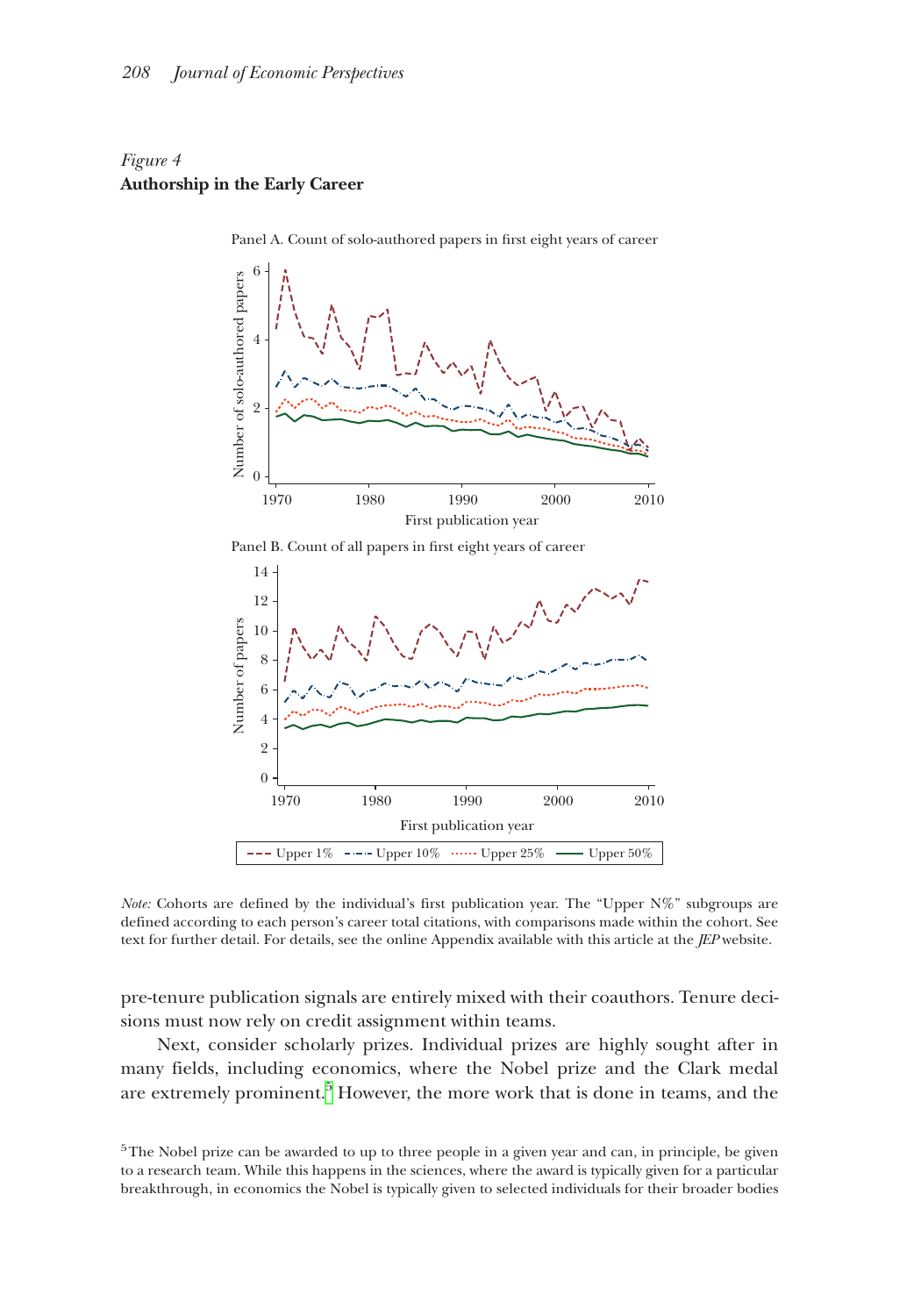## <span id="page-17-0"></span>*Figure 4* **Authorship in the Early Career**



Panel A. Count of solo-authored papers in first eight years of career



*Note:* Cohorts are defined by the individual's first publication year. The "Upper N%" subgroups are defined according to each person's career total citations, with comparisons made within the cohort. See text for further detail. For details, see the online Appendix available with this article at the *JEP* website.

pre-tenure publication signals are entirely mixed with their coauthors. Tenure decisions must now rely on credit assignment within teams.

Next, consider scholarly prizes. Individual prizes are highly sought after in many fields, including economics, where the Nobel prize and the Clark medal are extremely prominent.<sup>5</sup> However, the more work that is done in teams, and the

<span id="page-17-1"></span>5The Nobel prize can be awarded to up to three people in a given year and can, in principle, be given to a research team. While this happens in the sciences, where the award is typically given for a particular breakthrough, in economics the Nobel is typically given to selected individuals for their broader bodies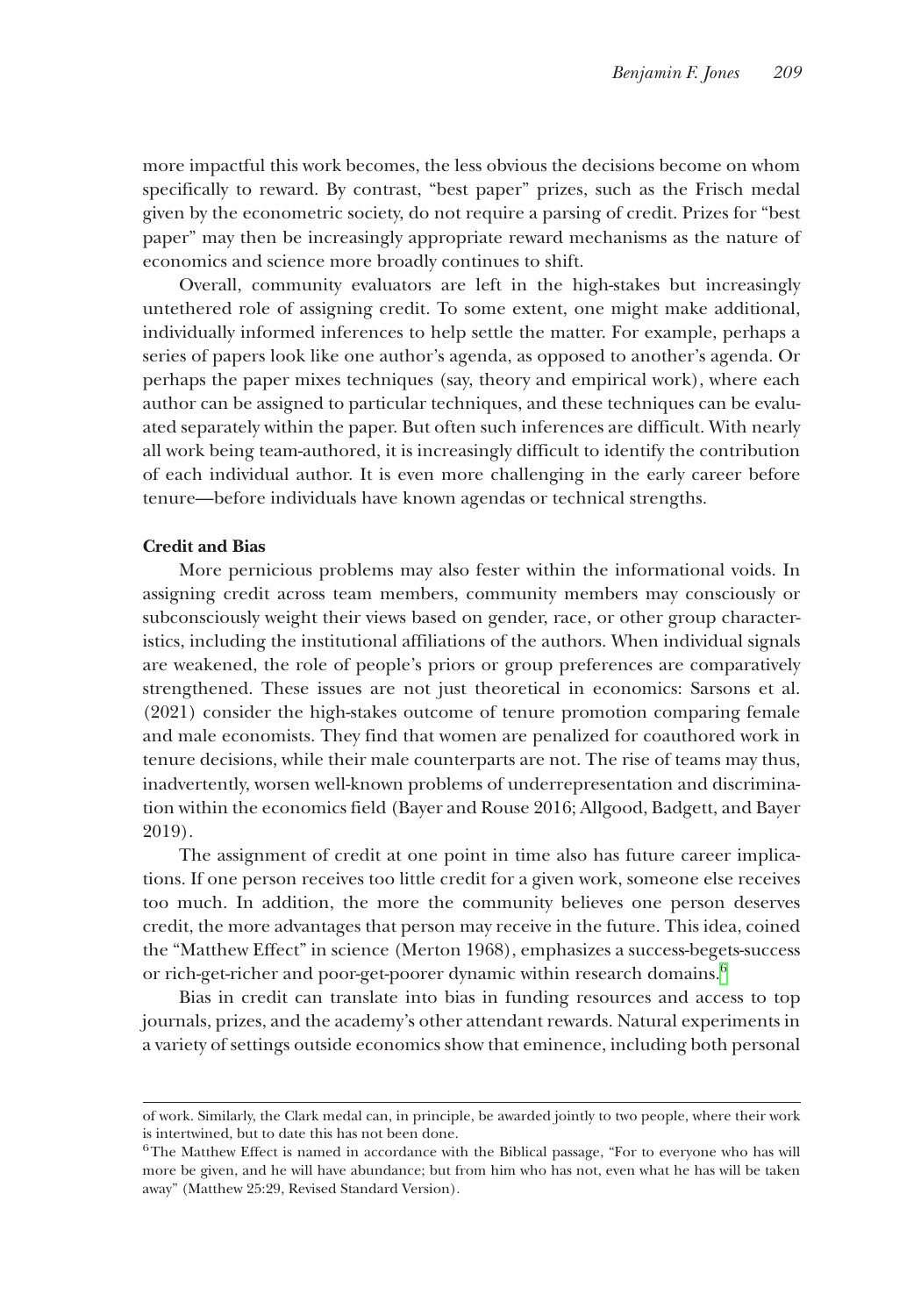more impactful this work becomes, the less obvious the decisions become on whom specifically to reward. By contrast, "best paper" prizes, such as the Frisch medal given by the econometric society, do not require a parsing of credit. Prizes for "best paper" may then be increasingly appropriate reward mechanisms as the nature of economics and science more broadly continues to shift.

Overall, community evaluators are left in the high-stakes but increasingly untethered role of assigning credit. To some extent, one might make additional, individually informed inferences to help settle the matter. For example, perhaps a series of papers look like one author's agenda, as opposed to another's agenda. Or perhaps the paper mixes techniques (say, theory and empirical work), where each author can be assigned to particular techniques, and these techniques can be evaluated separately within the paper. But often such inferences are difficult. With nearly all work being team-authored, it is increasingly difficult to identify the contribution of each individual author. It is even more challenging in the early career before tenure—before individuals have known agendas or technical strengths.

#### **Credit and Bias**

More pernicious problems may also fester within the informational voids. In assigning credit across team members, community members may consciously or subconsciously weight their views based on gender, race, or other group characteristics, including the institutional affiliations of the authors. When individual signals are weakened, the role of people's priors or group preferences are comparatively strengthened. These issues are not just theoretical in economics: Sarsons et al. (2021) consider the high-stakes outcome of tenure promotion comparing female and male economists. They find that women are penalized for coauthored work in tenure decisions, while their male counterparts are not. The rise of teams may thus, inadvertently, worsen well-known problems of underrepresentation and discrimination within the economics field (Bayer and Rouse 2016; Allgood, Badgett, and Bayer 2019).

The assignment of credit at one point in time also has future career implications. If one person receives too little credit for a given work, someone else receives too much. In addition, the more the community believes one person deserves credit, the more advantages that person may receive in the future. This idea, coined the "Matthew Effect" in science (Merton 1968), emphasizes a success-begets-success or rich-get-richer and poor-get-poorer dynamic within research domains.<sup>6</sup>

Bias in credit can translate into bias in funding resources and access to top journals, prizes, and the academy's other attendant rewards. Natural experiments in a variety of settings outside economics show that eminence, including both personal

of work. Similarly, the Clark medal can, in principle, be awarded jointly to two people, where their work is intertwined, but to date this has not been done.

<span id="page-18-0"></span><sup>&</sup>lt;sup>6</sup>The Matthew Effect is named in accordance with the Biblical passage, "For to everyone who has will more be given, and he will have abundance; but from him who has not, even what he has will be taken away" (Matthew 25:29, Revised Standard Version).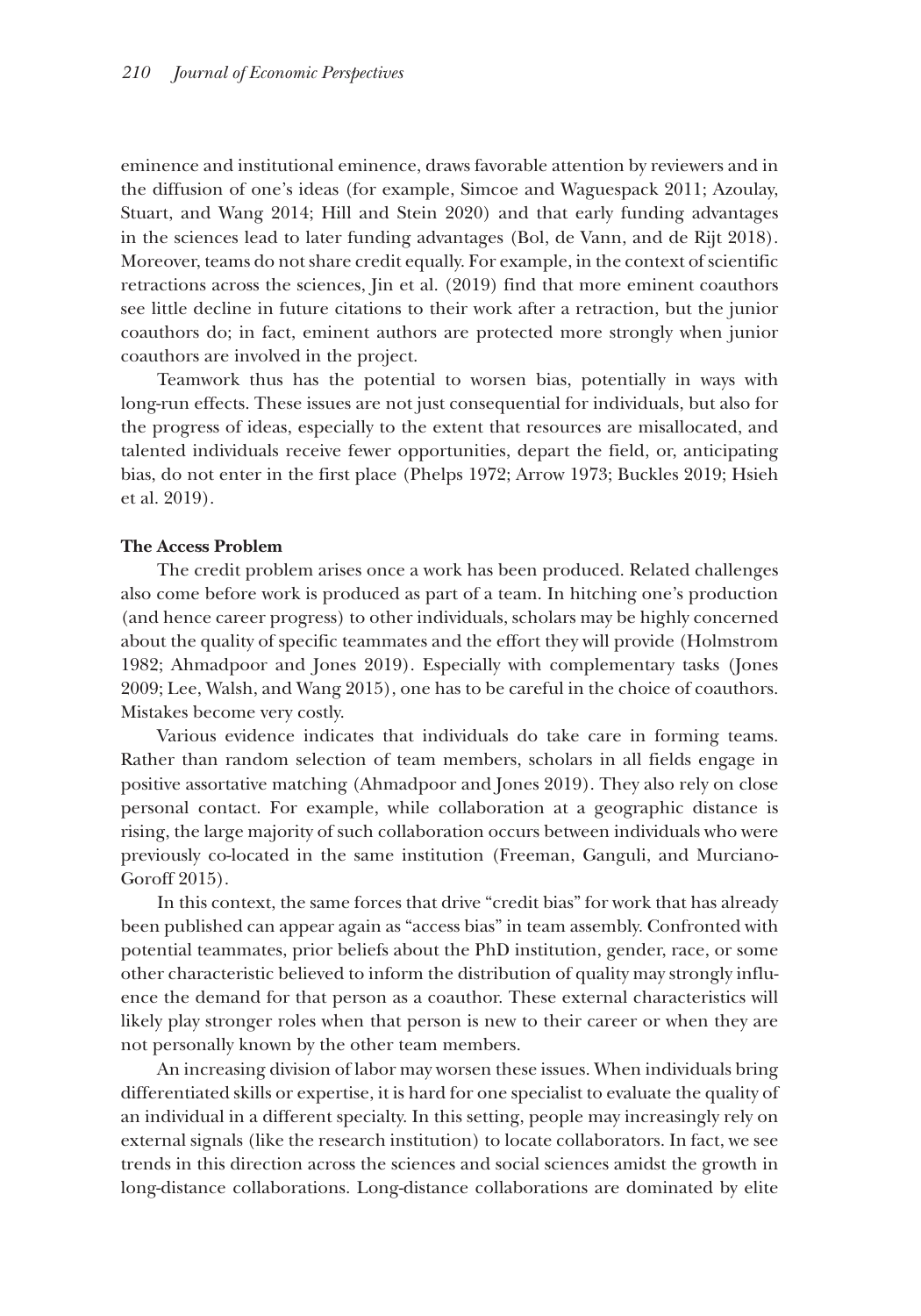eminence and institutional eminence, draws favorable attention by reviewers and in the diffusion of one's ideas (for example, Simcoe and Waguespack 2011; Azoulay, Stuart, and Wang 2014; Hill and Stein 2020) and that early funding advantages in the sciences lead to later funding advantages (Bol, de Vann, and de Rijt 2018). Moreover, teams do not share credit equally. For example, in the context of scientific retractions across the sciences, Jin et al. (2019) find that more eminent coauthors see little decline in future citations to their work after a retraction, but the junior coauthors do; in fact, eminent authors are protected more strongly when junior coauthors are involved in the project.

Teamwork thus has the potential to worsen bias, potentially in ways with long-run effects. These issues are not just consequential for individuals, but also for the progress of ideas, especially to the extent that resources are misallocated, and talented individuals receive fewer opportunities, depart the field, or, anticipating bias, do not enter in the first place (Phelps 1972; Arrow 1973; Buckles 2019; Hsieh et al. 2019).

#### **The Access Problem**

The credit problem arises once a work has been produced. Related challenges also come before work is produced as part of a team. In hitching one's production (and hence career progress) to other individuals, scholars may be highly concerned about the quality of specific teammates and the effort they will provide (Holmstrom 1982; Ahmadpoor and Jones 2019). Especially with complementary tasks (Jones 2009; Lee, Walsh, and Wang 2015), one has to be careful in the choice of coauthors. Mistakes become very costly.

Various evidence indicates that individuals do take care in forming teams. Rather than random selection of team members, scholars in all fields engage in positive assortative matching (Ahmadpoor and Jones 2019). They also rely on close personal contact. For example, while collaboration at a geographic distance is rising, the large majority of such collaboration occurs between individuals who were previously co-located in the same institution (Freeman, Ganguli, and Murciano-Goroff 2015).

In this context, the same forces that drive "credit bias" for work that has already been published can appear again as "access bias" in team assembly. Confronted with potential teammates, prior beliefs about the PhD institution, gender, race, or some other characteristic believed to inform the distribution of quality may strongly influence the demand for that person as a coauthor. These external characteristics will likely play stronger roles when that person is new to their career or when they are not personally known by the other team members.

An increasing division of labor may worsen these issues. When individuals bring differentiated skills or expertise, it is hard for one specialist to evaluate the quality of an individual in a different specialty. In this setting, people may increasingly rely on external signals (like the research institution) to locate collaborators. In fact, we see trends in this direction across the sciences and social sciences amidst the growth in long-distance collaborations. Long-distance collaborations are dominated by elite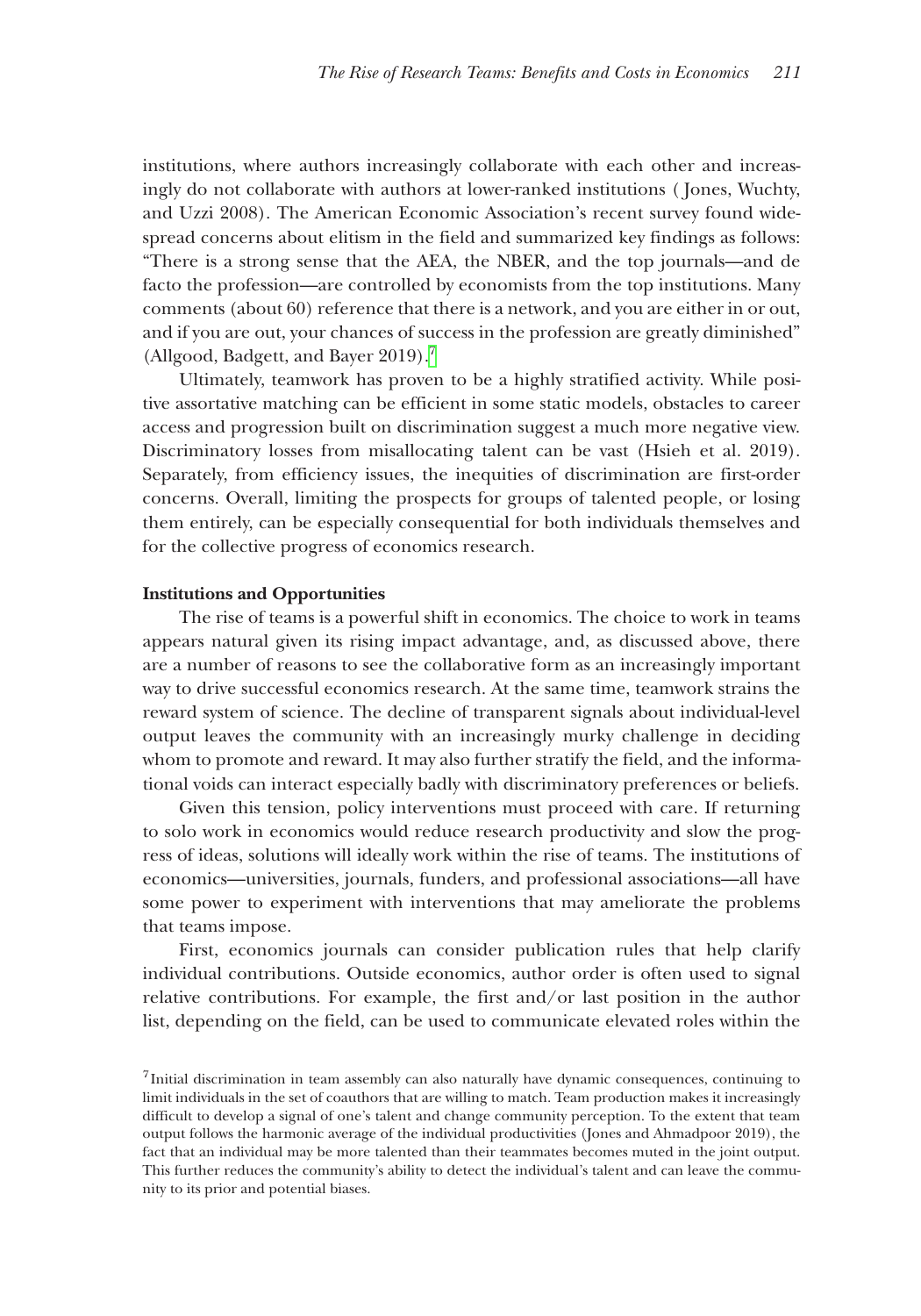institutions, where authors increasingly collaborate with each other and increasingly do not collaborate with authors at lower-ranked institutions ( Jones, Wuchty, and Uzzi 2008). The American Economic Association's recent survey found widespread concerns about elitism in the field and summarized key findings as follows: "There is a strong sense that the AEA, the NBER, and the top journals—and de facto the profession—are controlled by economists from the top institutions. Many comments (about 60) reference that there is a network, and you are either in or out, and if you are out, your chances of success in the profession are greatly diminished" (Allgood, Badgett, and Bayer 2019).<sup>[7](#page-20-0)</sup>

Ultimately, teamwork has proven to be a highly stratified activity. While positive assortative matching can be efficient in some static models, obstacles to career access and progression built on discrimination suggest a much more negative view. Discriminatory losses from misallocating talent can be vast (Hsieh et al. 2019). Separately, from efficiency issues, the inequities of discrimination are first-order concerns. Overall, limiting the prospects for groups of talented people, or losing them entirely, can be especially consequential for both individuals themselves and for the collective progress of economics research.

#### **Institutions and Opportunities**

The rise of teams is a powerful shift in economics. The choice to work in teams appears natural given its rising impact advantage, and, as discussed above, there are a number of reasons to see the collaborative form as an increasingly important way to drive successful economics research. At the same time, teamwork strains the reward system of science. The decline of transparent signals about individual-level output leaves the community with an increasingly murky challenge in deciding whom to promote and reward. It may also further stratify the field, and the informational voids can interact especially badly with discriminatory preferences or beliefs.

Given this tension, policy interventions must proceed with care. If returning to solo work in economics would reduce research productivity and slow the progress of ideas, solutions will ideally work within the rise of teams. The institutions of economics—universities, journals, funders, and professional associations—all have some power to experiment with interventions that may ameliorate the problems that teams impose.

First, economics journals can consider publication rules that help clarify individual contributions. Outside economics, author order is often used to signal relative contributions. For example, the first and/or last position in the author list, depending on the field, can be used to communicate elevated roles within the

<span id="page-20-0"></span><sup>7</sup>Initial discrimination in team assembly can also naturally have dynamic consequences, continuing to limit individuals in the set of coauthors that are willing to match. Team production makes it increasingly difficult to develop a signal of one's talent and change community perception. To the extent that team output follows the harmonic average of the individual productivities (Jones and Ahmadpoor 2019), the fact that an individual may be more talented than their teammates becomes muted in the joint output. This further reduces the community's ability to detect the individual's talent and can leave the community to its prior and potential biases.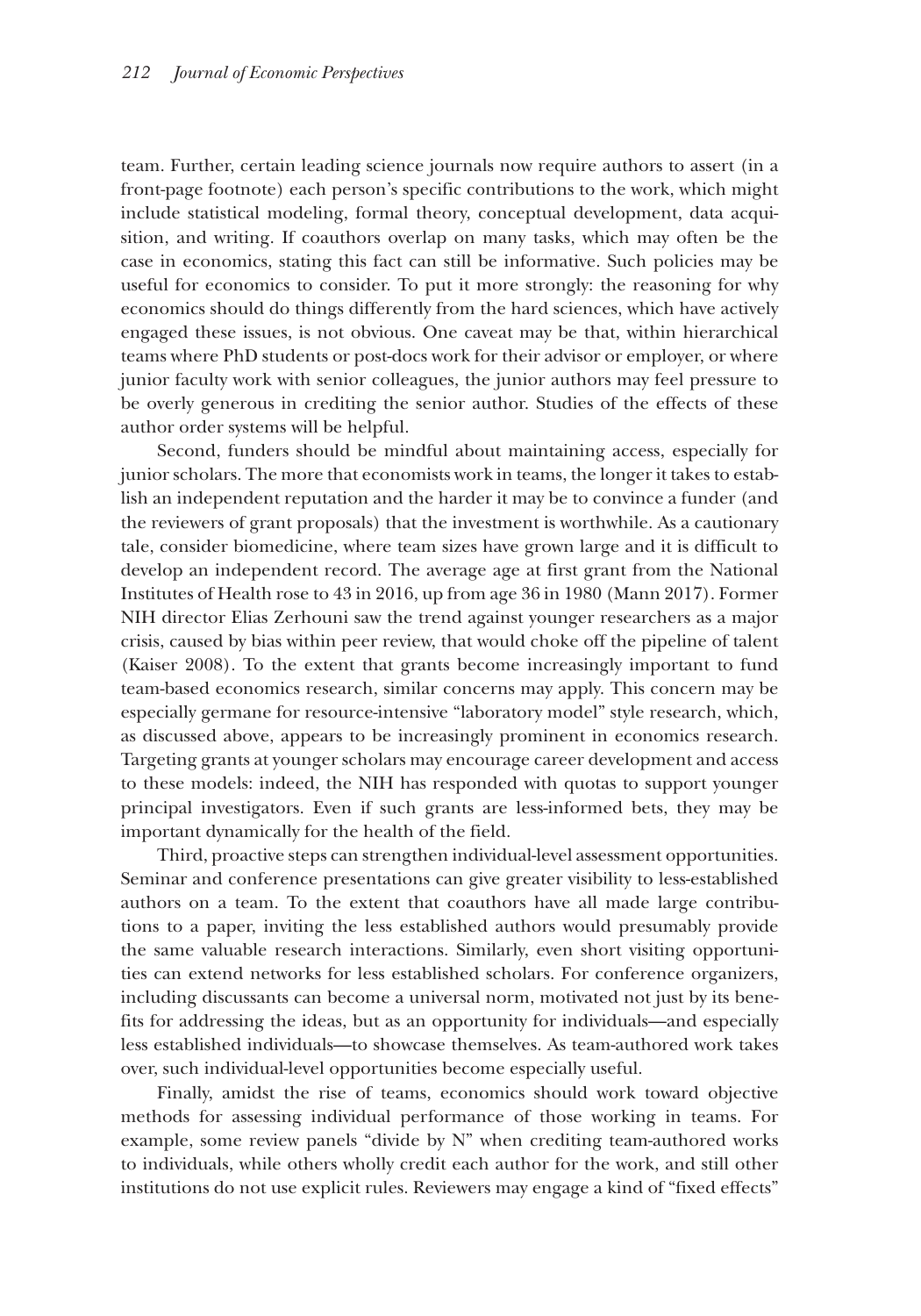team. Further, certain leading science journals now require authors to assert (in a front-page footnote) each person's specific contributions to the work, which might include statistical modeling, formal theory, conceptual development, data acquisition, and writing. If coauthors overlap on many tasks, which may often be the case in economics, stating this fact can still be informative. Such policies may be useful for economics to consider. To put it more strongly: the reasoning for why economics should do things differently from the hard sciences, which have actively engaged these issues, is not obvious. One caveat may be that, within hierarchical teams where PhD students or post-docs work for their advisor or employer, or where junior faculty work with senior colleagues, the junior authors may feel pressure to be overly generous in crediting the senior author. Studies of the effects of these author order systems will be helpful.

Second, funders should be mindful about maintaining access, especially for junior scholars. The more that economists work in teams, the longer it takes to establish an independent reputation and the harder it may be to convince a funder (and the reviewers of grant proposals) that the investment is worthwhile. As a cautionary tale, consider biomedicine, where team sizes have grown large and it is difficult to develop an independent record. The average age at first grant from the National Institutes of Health rose to 43 in 2016, up from age 36 in 1980 (Mann 2017). Former NIH director Elias Zerhouni saw the trend against younger researchers as a major crisis, caused by bias within peer review, that would choke off the pipeline of talent (Kaiser 2008). To the extent that grants become increasingly important to fund team-based economics research, similar concerns may apply. This concern may be especially germane for resource-intensive "laboratory model" style research, which, as discussed above, appears to be increasingly prominent in economics research. Targeting grants at younger scholars may encourage career development and access to these models: indeed, the NIH has responded with quotas to support younger principal investigators. Even if such grants are less-informed bets, they may be important dynamically for the health of the field.

Third, proactive steps can strengthen individual-level assessment opportunities. Seminar and conference presentations can give greater visibility to less-established authors on a team. To the extent that coauthors have all made large contributions to a paper, inviting the less established authors would presumably provide the same valuable research interactions. Similarly, even short visiting opportunities can extend networks for less established scholars. For conference organizers, including discussants can become a universal norm, motivated not just by its benefits for addressing the ideas, but as an opportunity for individuals—and especially less established individuals—to showcase themselves. As team-authored work takes over, such individual-level opportunities become especially useful.

Finally, amidst the rise of teams, economics should work toward objective methods for assessing individual performance of those working in teams. For example, some review panels "divide by N" when crediting team-authored works to individuals, while others wholly credit each author for the work, and still other institutions do not use explicit rules. Reviewers may engage a kind of "fixed effects"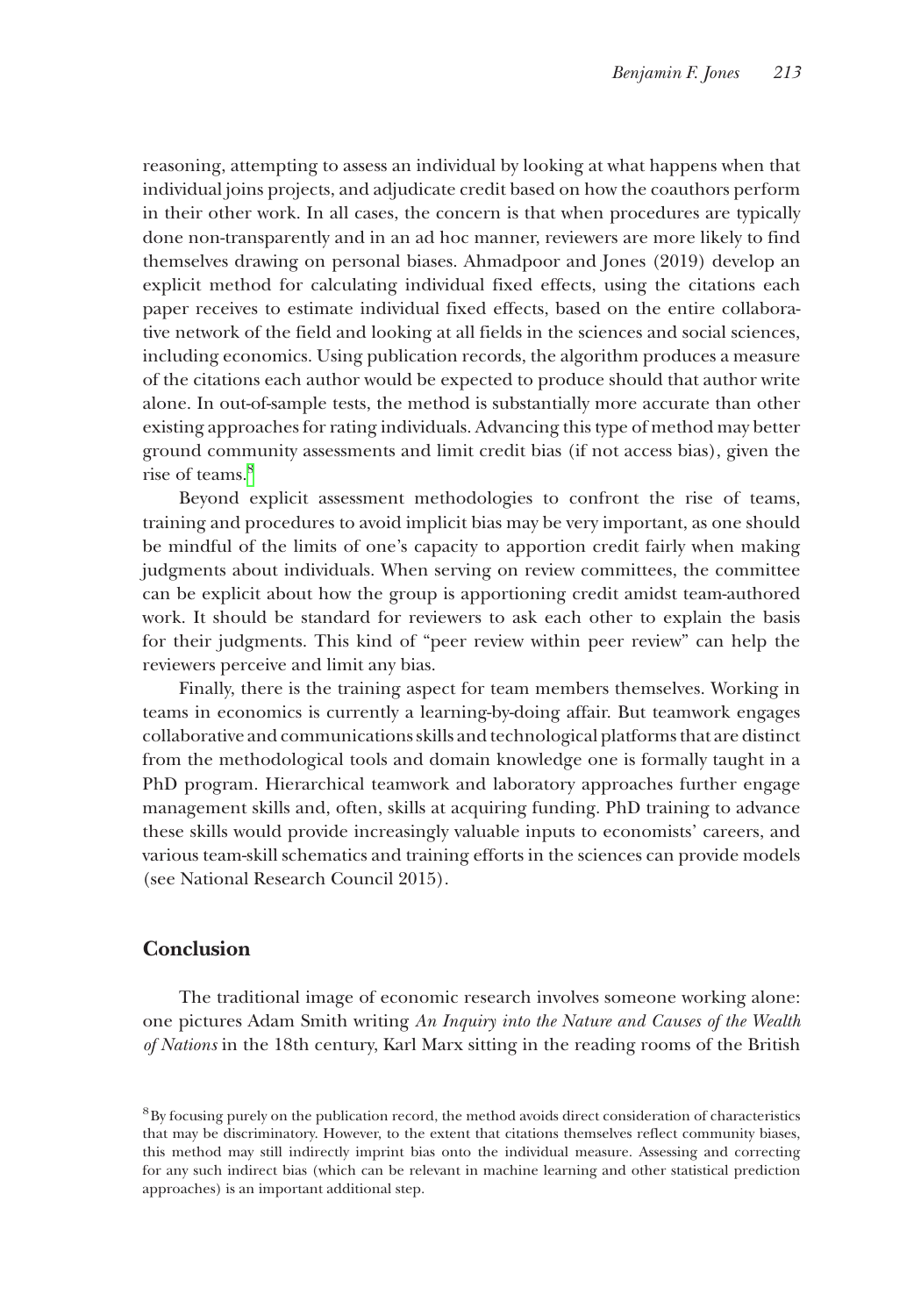reasoning, attempting to assess an individual by looking at what happens when that individual joins projects, and adjudicate credit based on how the coauthors perform in their other work. In all cases, the concern is that when procedures are typically done non-transparently and in an ad hoc manner, reviewers are more likely to find themselves drawing on personal biases. Ahmadpoor and Jones (2019) develop an explicit method for calculating individual fixed effects, using the citations each paper receives to estimate individual fixed effects, based on the entire collaborative network of the field and looking at all fields in the sciences and social sciences, including economics. Using publication records, the algorithm produces a measure of the citations each author would be expected to produce should that author write alone. In out-of-sample tests, the method is substantially more accurate than other existing approaches for rating individuals. Advancing this type of method may better ground community assessments and limit credit bias (if not access bias), given the rise of teams.<sup>8</sup>

Beyond explicit assessment methodologies to confront the rise of teams, training and procedures to avoid implicit bias may be very important, as one should be mindful of the limits of one's capacity to apportion credit fairly when making judgments about individuals. When serving on review committees, the committee can be explicit about how the group is apportioning credit amidst team-authored work. It should be standard for reviewers to ask each other to explain the basis for their judgments. This kind of "peer review within peer review" can help the reviewers perceive and limit any bias.

Finally, there is the training aspect for team members themselves. Working in teams in economics is currently a learning-by-doing affair. But teamwork engages collaborative and communications skills and technological platforms that are distinct from the methodological tools and domain knowledge one is formally taught in a PhD program. Hierarchical teamwork and laboratory approaches further engage management skills and, often, skills at acquiring funding. PhD training to advance these skills would provide increasingly valuable inputs to economists' careers, and various team-skill schematics and training efforts in the sciences can provide models (see National Research Council 2015).

## **Conclusion**

The traditional image of economic research involves someone working alone: one pictures Adam Smith writing *An Inquiry into the Nature and Causes of the Wealth of Nations* in the 18th century, Karl Marx sitting in the reading rooms of the British

<span id="page-22-0"></span><sup>&</sup>lt;sup>8</sup>By focusing purely on the publication record, the method avoids direct consideration of characteristics that may be discriminatory. However, to the extent that citations themselves reflect community biases, this method may still indirectly imprint bias onto the individual measure. Assessing and correcting for any such indirect bias (which can be relevant in machine learning and other statistical prediction approaches) is an important additional step.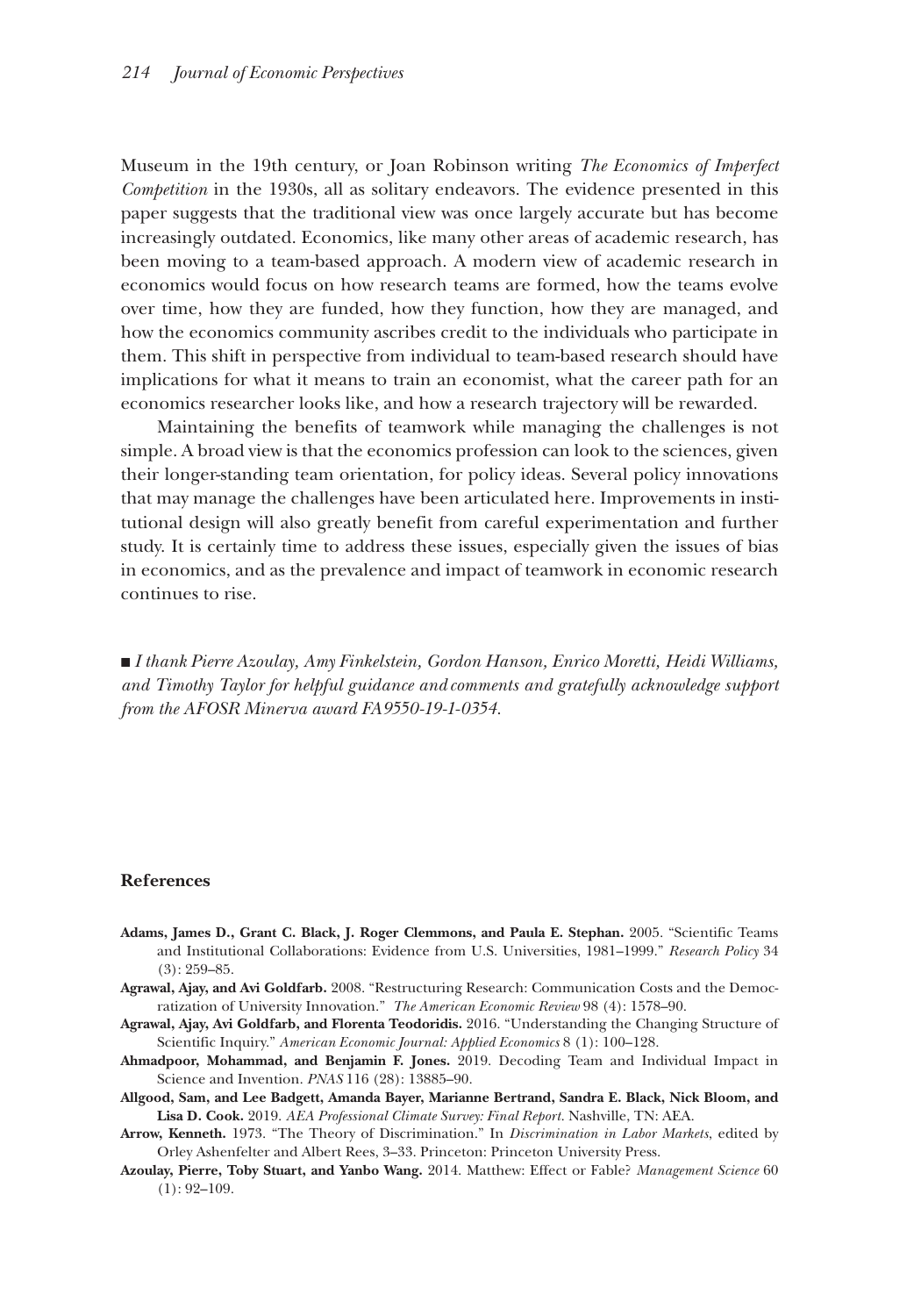Museum in the 19th century, or Joan Robinson writing *The Economics of Imperfect Competition* in the 1930s, all as solitary endeavors. The evidence presented in this paper suggests that the traditional view was once largely accurate but has become increasingly outdated. Economics, like many other areas of academic research, has been moving to a team-based approach. A modern view of academic research in economics would focus on how research teams are formed, how the teams evolve over time, how they are funded, how they function, how they are managed, and how the economics community ascribes credit to the individuals who participate in them. This shift in perspective from individual to team-based research should have implications for what it means to train an economist, what the career path for an economics researcher looks like, and how a research trajectory will be rewarded.

Maintaining the benefits of teamwork while managing the challenges is not simple. A broad view is that the economics profession can look to the sciences, given their longer-standing team orientation, for policy ideas. Several policy innovations that may manage the challenges have been articulated here. Improvements in institutional design will also greatly benefit from careful experimentation and further study. It is certainly time to address these issues, especially given the issues of bias in economics, and as the prevalence and impact of teamwork in economic research continues to rise.

■ *I thank Pierre Azoulay, Amy Finkelstein, Gordon Hanson, Enrico Moretti, Heidi Williams, and Timothy Taylor for helpful guidance and comments and gratefully acknowledge support from the AFOSR Minerva award FA9550-19-1-0354.* 

#### **References**

- **Adams, James D., Grant C. Black, J. Roger Clemmons, and Paula E. Stephan.** 2005. "Scientific Teams and Institutional Collaborations: Evidence from U.S. Universities, 1981–1999." *Research Policy* 34  $(3): 259 - 85.$
- **Agrawal, Ajay, and Avi Goldfarb.** 2008. "Restructuring Research: Communication Costs and the Democratization of University Innovation." *The American Economic Review* 98 (4): 1578–90.
- **Agrawal, Ajay, Avi Goldfarb, and Florenta Teodoridis.** 2016. "Understanding the Changing Structure of Scientific Inquiry." *American Economic Journal: Applied Economics* 8 (1): 100–128.
- **Ahmadpoor, Mohammad, and Benjamin F. Jones.** 2019. Decoding Team and Individual Impact in Science and Invention. *PNAS* 116 (28): 13885–90.
- **Allgood, Sam, and Lee Badgett, Amanda Bayer, Marianne Bertrand, Sandra E. Black, Nick Bloom, and Lisa D. Cook.** 2019. *AEA Professional Climate Survey: Final Report*. Nashville, TN: AEA.
- **Arrow, Kenneth.** 1973. "The Theory of Discrimination." In *Discrimination in Labor Markets*, edited by Orley Ashenfelter and Albert Rees, 3–33. Princeton: Princeton University Press.
- **Azoulay, Pierre, Toby Stuart, and Yanbo Wang.** 2014. Matthew: Effect or Fable? *Management Science* 60  $(1): 92 - 109.$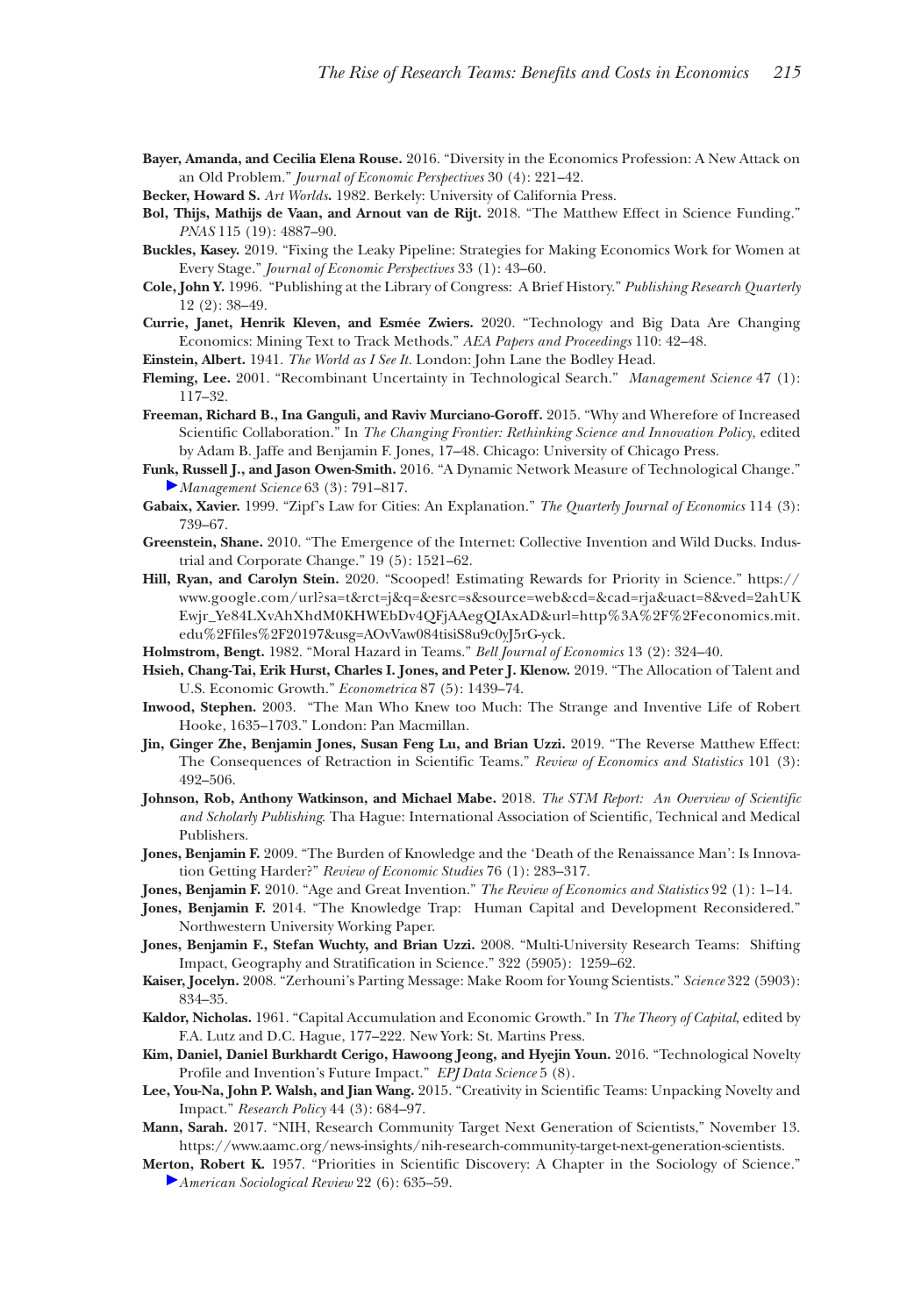- **Bayer, Amanda, and Cecilia Elena Rouse.** 2016. "Diversity in the Economics Profession: A New Attack on an Old Problem." *Journal of Economic Perspectives* 30 (4): 221–42.
- **Becker, Howard S.** *Art Worlds***.** 1982. Berkely: University of California Press.
- **Bol, Thijs, Mathijs de Vaan, and Arnout van de Rijt.** 2018. "The Matthew Effect in Science Funding." *PNAS* 115 (19): 4887–90.
- **Buckles, Kasey.** 2019. "Fixing the Leaky Pipeline: Strategies for Making Economics Work for Women at Every Stage." *Journal of Economic Perspectives* 33 (1): 43–60.
- **Cole, John Y.** 1996. "Publishing at the Library of Congress: A Brief History." *Publishing Research Quarterly* 12 (2): 38–49.
- **Currie, Janet, Henrik Kleven, and Esmée Zwiers.** 2020. "Technology and Big Data Are Changing Economics: Mining Text to Track Methods." *AEA Papers and Proceedings* 110: 42–48.
- **Einstein, Albert.** 1941. *The World as I See It.* London: John Lane the Bodley Head.
- **Fleming, Lee.** 2001. "Recombinant Uncertainty in Technological Search." *Management Science* 47 (1): 117–32.
- **Freeman, Richard B., Ina Ganguli, and Raviv Murciano-Goroff.** 2015. "Why and Wherefore of Increased Scientific Collaboration." In *The Changing Frontier: Rethinking Science and Innovation Policy*, edited by Adam B. Jaffe and Benjamin F. Jones, 17–48. Chicago: University of Chicago Press.
- **Funk, Russell J., and Jason Owen-Smith.** 2016. "A Dynamic Network Measure of Technological Change." *Management Science* 63 (3): 791–817.
- **Gabaix, Xavier.** 1999. "Zipf's Law for Cities: An Explanation." *The Quarterly Journal of Economics* 114 (3): 739–67.
- **Greenstein, Shane.** 2010. "The Emergence of the Internet: Collective Invention and Wild Ducks. Industrial and Corporate Change." 19 (5): 1521–62.
- **Hill, Ryan, and Carolyn Stein.** 2020. "Scooped! Estimating Rewards for Priority in Science." [https://](https://www.google.com/url?sa=t&rct=j&q=&esrc=s&source=web&cd=&cad=rja&uact=8&ved=2ahUKEwjr_Ye84LXvAhXhdM0KHWEbDv4QFjAAegQIAxAD&url=http%3A%2F%2Feconomics.mit.edu%2Ffiles%2F20197&usg=AOvVaw084tisiS8u9c0yJ5rG-yck) [www.google.com/url?sa=t&rct=j&q=&esrc=s&source=web&cd=&cad=rja&uact=8&ved=2ahUK](https://www.google.com/url?sa=t&rct=j&q=&esrc=s&source=web&cd=&cad=rja&uact=8&ved=2ahUKEwjr_Ye84LXvAhXhdM0KHWEbDv4QFjAAegQIAxAD&url=http%3A%2F%2Feconomics.mit.edu%2Ffiles%2F20197&usg=AOvVaw084tisiS8u9c0yJ5rG-yck) [Ewjr\\_Ye84LXvAhXhdM0KHWEbDv4QFjAAegQIAxAD&url=http%3A%2F%2Feconomics.mit.](https://www.google.com/url?sa=t&rct=j&q=&esrc=s&source=web&cd=&cad=rja&uact=8&ved=2ahUKEwjr_Ye84LXvAhXhdM0KHWEbDv4QFjAAegQIAxAD&url=http%3A%2F%2Feconomics.mit.edu%2Ffiles%2F20197&usg=AOvVaw084tisiS8u9c0yJ5rG-yck) [edu%2Ffiles%2F20197&usg=AOvVaw084tisiS8u9c0yJ5rG-yck](https://www.google.com/url?sa=t&rct=j&q=&esrc=s&source=web&cd=&cad=rja&uact=8&ved=2ahUKEwjr_Ye84LXvAhXhdM0KHWEbDv4QFjAAegQIAxAD&url=http%3A%2F%2Feconomics.mit.edu%2Ffiles%2F20197&usg=AOvVaw084tisiS8u9c0yJ5rG-yck).
- **Holmstrom, Bengt.** 1982. "Moral Hazard in Teams." *Bell Journal of Economics* 13 (2): 324–40.
- **Hsieh, Chang-Tai, Erik Hurst, Charles I. Jones, and Peter J. Klenow.** 2019. "The Allocation of Talent and U.S. Economic Growth." *Econometrica* 87 (5): 1439–74.
- **Inwood, Stephen.** 2003. "The Man Who Knew too Much: The Strange and Inventive Life of Robert Hooke, 1635–1703." London: Pan Macmillan.
- **Jin, Ginger Zhe, Benjamin Jones, Susan Feng Lu, and Brian Uzzi.** 2019. "The Reverse Matthew Effect: The Consequences of Retraction in Scientific Teams." *Review of Economics and Statistics* 101 (3): 492–506.
- **Johnson, Rob, Anthony Watkinson, and Michael Mabe.** 2018. *The STM Report: An Overview of Scientific and Scholarly Publishing*. Tha Hague: International Association of Scientific, Technical and Medical Publishers.
- **Jones, Benjamin F.** 2009. "The Burden of Knowledge and the 'Death of the Renaissance Man': Is Innovation Getting Harder?" *Review of Economic Studies* 76 (1): 283–317.
- **Jones, Benjamin F.** 2010. "Age and Great Invention." *The Review of Economics and Statistics* 92 (1): 1–14.
- **Jones, Benjamin F.** 2014. "The Knowledge Trap: Human Capital and Development Reconsidered." Northwestern University Working Paper.
- **Jones, Benjamin F., Stefan Wuchty, and Brian Uzzi.** 2008. "Multi-University Research Teams: Shifting Impact, Geography and Stratification in Science." 322 (5905): 1259–62.
- **Kaiser, Jocelyn.** 2008. "Zerhouni's Parting Message: Make Room for Young Scientists." *Science* 322 (5903): 834–35.
- **Kaldor, Nicholas.** 1961. "Capital Accumulation and Economic Growth." In *The Theory of Capital*, edited by F.A. Lutz and D.C. Hague, 177–222. New York: St. Martins Press.
- **Kim, Daniel, Daniel Burkhardt Cerigo, Hawoong Jeong, and Hyejin Youn.** 2016. "Technological Novelty Profile and Invention's Future Impact." *EPJ Data Science* 5 (8).
- **Lee, You-Na, John P. Walsh, and Jian Wang.** 2015. "Creativity in Scientific Teams: Unpacking Novelty and Impact." *Research Policy* 44 (3): 684–97.
- **Mann, Sarah.** 2017. "NIH, Research Community Target Next Generation of Scientists," November 13. [https://www.aamc.org/news-insights/nih-research-community-target-next-generation-scientists.](https://www.aamc.org/news-insights/nih-research-community-target-next-generation-scientists)
- **Merton, Robert K.** 1957. "Priorities in Scientific Discovery: A Chapter in the Sociology of Science." *[A](http://pubs.aeaweb.org/action/showLinks?pmid=5634379&crossref=10.1126%2Fscience.159.3810.56&citationId=p_37)merican Sociological Review* 22 (6): 635–59.